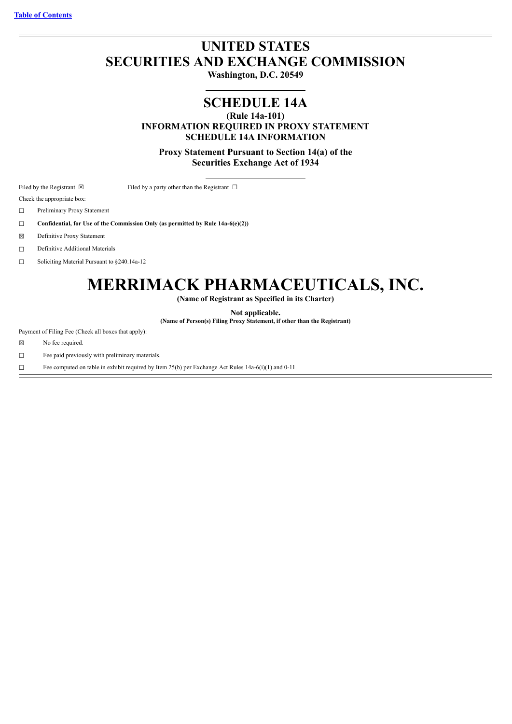## **UNITED STATES SECURITIES AND EXCHANGE COMMISSION**

**Washington, D.C. 20549**

## **SCHEDULE 14A**

**(Rule 14a-101)**

**INFORMATION REQUIRED IN PROXY STATEMENT SCHEDULE 14A INFORMATION**

**Proxy Statement Pursuant to Section 14(a) of the Securities Exchange Act of 1934**

Filed by the Registrant  $\boxtimes$  Filed by a party other than the Registrant  $\Box$ 

Check the appropriate box:

☐ Preliminary Proxy Statement

☐ **Confidential, for Use of the Commission Only (as permitted by Rule 14a-6(e)(2))**

☒ Definitive Proxy Statement

☐ Definitive Additional Materials

☐ Soliciting Material Pursuant to §240.14a-12

# **MERRIMACK PHARMACEUTICALS, INC.**

**(Name of Registrant as Specified in its Charter)**

**Not applicable.**

**(Name of Person(s) Filing Proxy Statement, if other than the Registrant)**

Payment of Filing Fee (Check all boxes that apply):

☒ No fee required.

☐ Fee paid previously with preliminary materials.

□ Fee computed on table in exhibit required by Item 25(b) per Exchange Act Rules 14a-6(i)(1) and 0-11.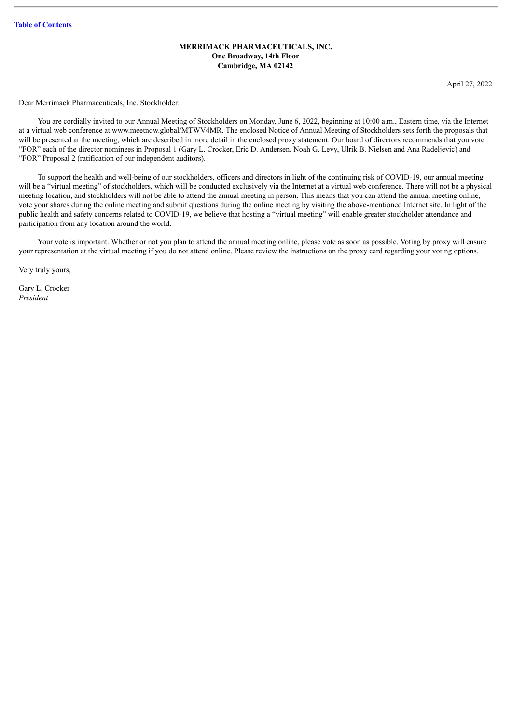### **MERRIMACK PHARMACEUTICALS, INC. One Broadway, 14th Floor Cambridge, MA 02142**

April 27, 2022

Dear Merrimack Pharmaceuticals, Inc. Stockholder:

You are cordially invited to our Annual Meeting of Stockholders on Monday, June 6, 2022, beginning at 10:00 a.m., Eastern time, via the Internet at a virtual web conference at www.meetnow.global/MTWV4MR. The enclosed Notice of Annual Meeting of Stockholders sets forth the proposals that will be presented at the meeting, which are described in more detail in the enclosed proxy statement. Our board of directors recommends that you vote "FOR" each of the director nominees in Proposal 1 (Gary L. Crocker, Eric D. Andersen, Noah G. Levy, Ulrik B. Nielsen and Ana Radeljevic) and "FOR" Proposal 2 (ratification of our independent auditors).

To support the health and well-being of our stockholders, officers and directors in light of the continuing risk of COVID-19, our annual meeting will be a "virtual meeting" of stockholders, which will be conducted exclusively via the Internet at a virtual web conference. There will not be a physical meeting location, and stockholders will not be able to attend the annual meeting in person. This means that you can attend the annual meeting online, vote your shares during the online meeting and submit questions during the online meeting by visiting the above-mentioned Internet site. In light of the public health and safety concerns related to COVID-19, we believe that hosting a "virtual meeting" will enable greater stockholder attendance and participation from any location around the world.

Your vote is important. Whether or not you plan to attend the annual meeting online, please vote as soon as possible. Voting by proxy will ensure your representation at the virtual meeting if you do not attend online. Please review the instructions on the proxy card regarding your voting options.

Very truly yours,

Gary L. Crocker *President*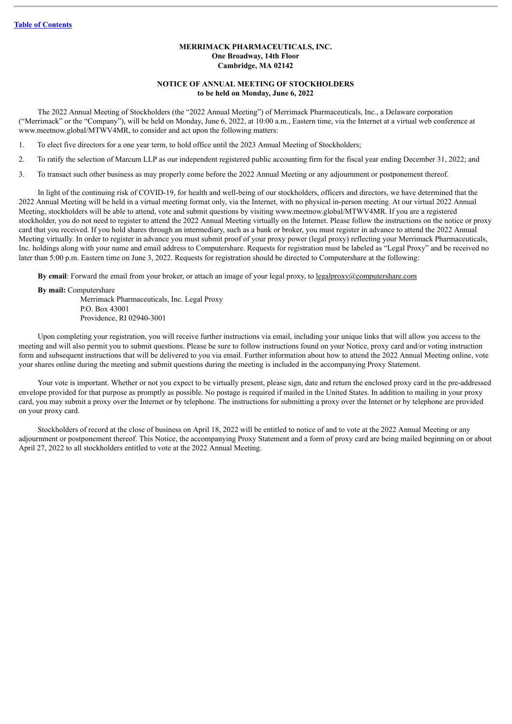#### **MERRIMACK PHARMACEUTICALS, INC. One Broadway, 14th Floor Cambridge, MA 02142**

## **NOTICE OF ANNUAL MEETING OF STOCKHOLDERS to be held on Monday, June 6, 2022**

The 2022 Annual Meeting of Stockholders (the "2022 Annual Meeting") of Merrimack Pharmaceuticals, Inc., a Delaware corporation ("Merrimack" or the "Company"), will be held on Monday, June 6, 2022, at 10:00 a.m., Eastern time, via the Internet at a virtual web conference at www.meetnow.global/MTWV4MR, to consider and act upon the following matters:

1. To elect five directors for a one year term, to hold office until the 2023 Annual Meeting of Stockholders;

- 2. To ratify the selection of Marcum LLP as our independent registered public accounting firm for the fiscal year ending December 31, 2022; and
- 3. To transact such other business as may properly come before the 2022 Annual Meeting or any adjournment or postponement thereof.

In light of the continuing risk of COVID-19, for health and well-being of our stockholders, officers and directors, we have determined that the 2022 Annual Meeting will be held in a virtual meeting format only, via the Internet, with no physical in-person meeting. At our virtual 2022 Annual Meeting, stockholders will be able to attend, vote and submit questions by visiting www.meetnow.global/MTWV4MR. If you are a registered stockholder, you do not need to register to attend the 2022 Annual Meeting virtually on the Internet. Please follow the instructions on the notice or proxy card that you received. If you hold shares through an intermediary, such as a bank or broker, you must register in advance to attend the 2022 Annual Meeting virtually. In order to register in advance you must submit proof of your proxy power (legal proxy) reflecting your Merrimack Pharmaceuticals, Inc. holdings along with your name and email address to Computershare. Requests for registration must be labeled as "Legal Proxy" and be received no later than 5:00 p.m. Eastern time on June 3, 2022. Requests for registration should be directed to Computershare at the following:

**By email**: Forward the email from your broker, or attach an image of your legal proxy, to legalproxy@computershare.com

**By mail:** Computershare

Merrimack Pharmaceuticals, Inc. Legal Proxy P.O. Box 43001 Providence, RI 02940-3001

Upon completing your registration, you will receive further instructions via email, including your unique links that will allow you access to the meeting and will also permit you to submit questions. Please be sure to follow instructions found on your Notice, proxy card and/or voting instruction form and subsequent instructions that will be delivered to you via email. Further information about how to attend the 2022 Annual Meeting online, vote your shares online during the meeting and submit questions during the meeting is included in the accompanying Proxy Statement.

Your vote is important. Whether or not you expect to be virtually present, please sign, date and return the enclosed proxy card in the pre-addressed envelope provided for that purpose as promptly as possible. No postage is required if mailed in the United States. In addition to mailing in your proxy card, you may submit a proxy over the Internet or by telephone. The instructions for submitting a proxy over the Internet or by telephone are provided on your proxy card.

Stockholders of record at the close of business on April 18, 2022 will be entitled to notice of and to vote at the 2022 Annual Meeting or any adjournment or postponement thereof. This Notice, the accompanying Proxy Statement and a form of proxy card are being mailed beginning on or about April 27, 2022 to all stockholders entitled to vote at the 2022 Annual Meeting.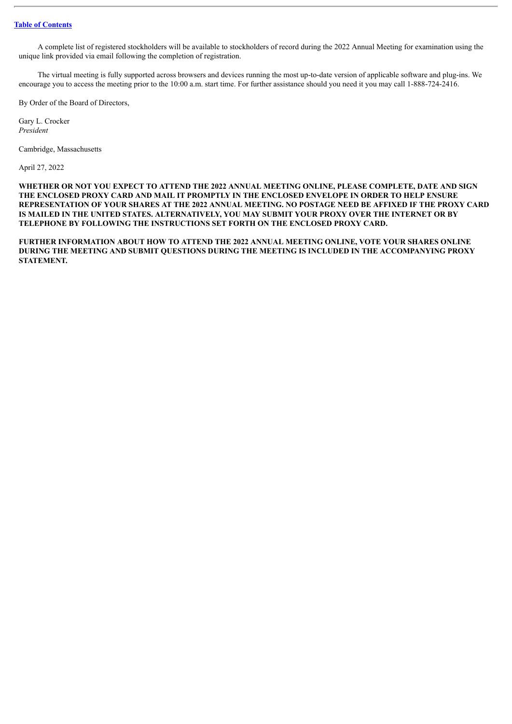A complete list of registered stockholders will be available to stockholders of record during the 2022 Annual Meeting for examination using the unique link provided via email following the completion of registration.

The virtual meeting is fully supported across browsers and devices running the most up-to-date version of applicable software and plug-ins. We encourage you to access the meeting prior to the 10:00 a.m. start time. For further assistance should you need it you may call 1-888-724-2416.

By Order of the Board of Directors,

Gary L. Crocker *President*

Cambridge, Massachusetts

April 27, 2022

**WHETHER OR NOT YOU EXPECT TO ATTEND THE 2022 ANNUAL MEETING ONLINE, PLEASE COMPLETE, DATE AND SIGN THE ENCLOSED PROXY CARD AND MAIL IT PROMPTLY IN THE ENCLOSED ENVELOPE IN ORDER TO HELP ENSURE** REPRESENTATION OF YOUR SHARES AT THE 2022 ANNUAL MEETING. NO POSTAGE NEED BE AFFIXED IF THE PROXY CARD **IS MAILED IN THE UNITED STATES. ALTERNATIVELY, YOU MAY SUBMIT YOUR PROXY OVER THE INTERNET OR BY TELEPHONE BY FOLLOWING THE INSTRUCTIONS SET FORTH ON THE ENCLOSED PROXY CARD.**

**FURTHER INFORMATION ABOUT HOW TO ATTEND THE 2022 ANNUAL MEETING ONLINE, VOTE YOUR SHARES ONLINE DURING THE MEETING AND SUBMIT QUESTIONS DURING THE MEETING IS INCLUDED IN THE ACCOMPANYING PROXY STATEMENT.**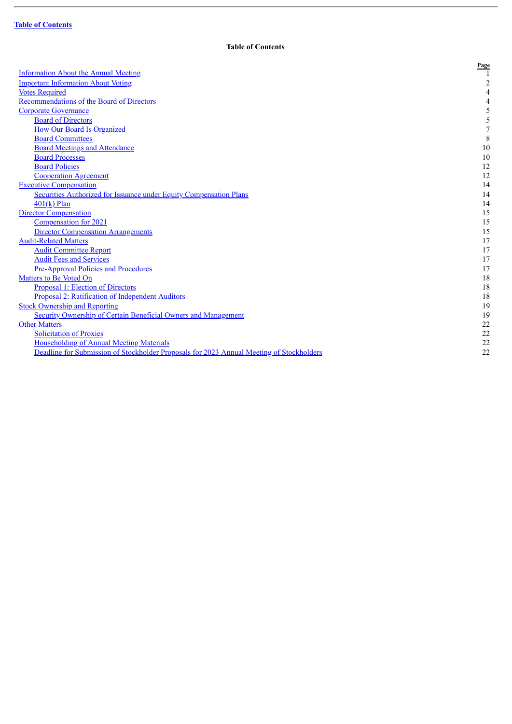l,

## **Table of Contents**

<span id="page-4-0"></span>

|                                                                                          | Page           |
|------------------------------------------------------------------------------------------|----------------|
| <b>Information About the Annual Meeting</b>                                              |                |
| <b>Important Information About Voting</b>                                                | $\overline{2}$ |
| <b>Votes Required</b>                                                                    | 4              |
| Recommendations of the Board of Directors                                                | 4              |
| <b>Corporate Governance</b>                                                              |                |
| <b>Board of Directors</b>                                                                |                |
| <b>How Our Board Is Organized</b>                                                        | 7              |
| <b>Board Committees</b>                                                                  | $\,$ 8 $\,$    |
| <b>Board Meetings and Attendance</b>                                                     | 10             |
| <b>Board Processes</b>                                                                   | $10\,$         |
| <b>Board Policies</b>                                                                    | 12             |
| <b>Cooperation Agreement</b>                                                             | 12             |
| <b>Executive Compensation</b>                                                            | 14             |
| <b>Securities Authorized for Issuance under Equity Compensation Plans</b>                | 14             |
| $401(k)$ Plan                                                                            | 14             |
| <b>Director Compensation</b>                                                             | 15             |
| Compensation for 2021                                                                    | 15             |
| <b>Director Compensation Arrangements</b>                                                | 15             |
| <b>Audit-Related Matters</b>                                                             | 17             |
| <b>Audit Committee Report</b>                                                            | 17             |
| <b>Audit Fees and Services</b>                                                           | 17             |
| <b>Pre-Approval Policies and Procedures</b>                                              | 17             |
| Matters to Be Voted On                                                                   | 18             |
| <b>Proposal 1: Election of Directors</b>                                                 | 18             |
| Proposal 2: Ratification of Independent Auditors                                         | 18             |
| <b>Stock Ownership and Reporting</b>                                                     | 19             |
| <b>Security Ownership of Certain Beneficial Owners and Management</b>                    | 19             |
| <b>Other Matters</b>                                                                     | 22             |
| <b>Solicitation of Proxies</b>                                                           | 22             |
| <b>Householding of Annual Meeting Materials</b>                                          | 22             |
| Deadline for Submission of Stockholder Proposals for 2023 Annual Meeting of Stockholders | 22             |
|                                                                                          |                |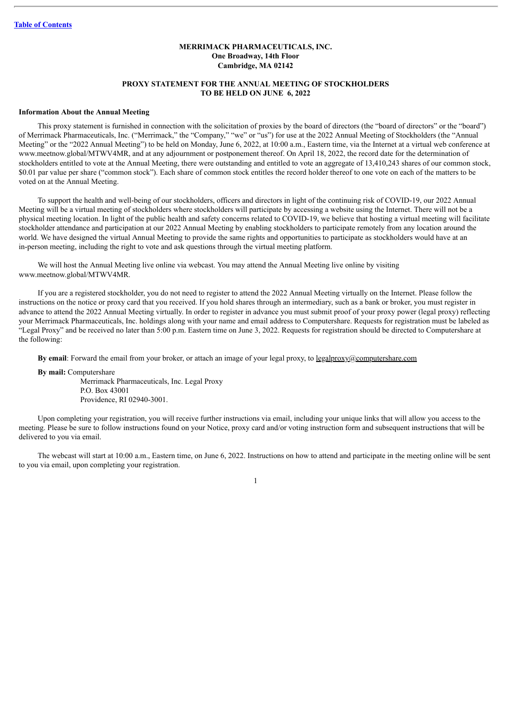## **MERRIMACK PHARMACEUTICALS, INC. One Broadway, 14th Floor Cambridge, MA 02142**

## **PROXY STATEMENT FOR THE ANNUAL MEETING OF STOCKHOLDERS TO BE HELD ON JUNE 6, 2022**

#### <span id="page-5-0"></span>**Information About the Annual Meeting**

This proxy statement is furnished in connection with the solicitation of proxies by the board of directors (the "board of directors" or the "board") of Merrimack Pharmaceuticals, Inc. ("Merrimack," the "Company," "we" or "us") for use at the 2022 Annual Meeting of Stockholders (the "Annual Meeting" or the "2022 Annual Meeting") to be held on Monday, June 6, 2022, at 10:00 a.m., Eastern time, via the Internet at a virtual web conference at www.meetnow.global/MTWV4MR, and at any adjournment or postponement thereof. On April 18, 2022, the record date for the determination of stockholders entitled to vote at the Annual Meeting, there were outstanding and entitled to vote an aggregate of 13,410,243 shares of our common stock, \$0.01 par value per share ("common stock"). Each share of common stock entitles the record holder thereof to one vote on each of the matters to be voted on at the Annual Meeting.

To support the health and well-being of our stockholders, officers and directors in light of the continuing risk of COVID-19, our 2022 Annual Meeting will be a virtual meeting of stockholders where stockholders will participate by accessing a website using the Internet. There will not be a physical meeting location. In light of the public health and safety concerns related to COVID-19, we believe that hosting a virtual meeting will facilitate stockholder attendance and participation at our 2022 Annual Meeting by enabling stockholders to participate remotely from any location around the world. We have designed the virtual Annual Meeting to provide the same rights and opportunities to participate as stockholders would have at an in-person meeting, including the right to vote and ask questions through the virtual meeting platform.

We will host the Annual Meeting live online via webcast. You may attend the Annual Meeting live online by visiting www.meetnow.global/MTWV4MR.

If you are a registered stockholder, you do not need to register to attend the 2022 Annual Meeting virtually on the Internet. Please follow the instructions on the notice or proxy card that you received. If you hold shares through an intermediary, such as a bank or broker, you must register in advance to attend the 2022 Annual Meeting virtually. In order to register in advance you must submit proof of your proxy power (legal proxy) reflecting your Merrimack Pharmaceuticals, Inc. holdings along with your name and email address to Computershare. Requests for registration must be labeled as "Legal Proxy" and be received no later than 5:00 p.m. Eastern time on June 3, 2022. Requests for registration should be directed to Computershare at the following:

**By email**: Forward the email from your broker, or attach an image of your legal proxy, to legalproxy@computershare.com

**By mail:** Computershare

Merrimack Pharmaceuticals, Inc. Legal Proxy P.O. Box 43001 Providence, RI 02940-3001.

Upon completing your registration, you will receive further instructions via email, including your unique links that will allow you access to the meeting. Please be sure to follow instructions found on your Notice, proxy card and/or voting instruction form and subsequent instructions that will be delivered to you via email.

The webcast will start at 10:00 a.m., Eastern time, on June 6, 2022. Instructions on how to attend and participate in the meeting online will be sent to you via email, upon completing your registration.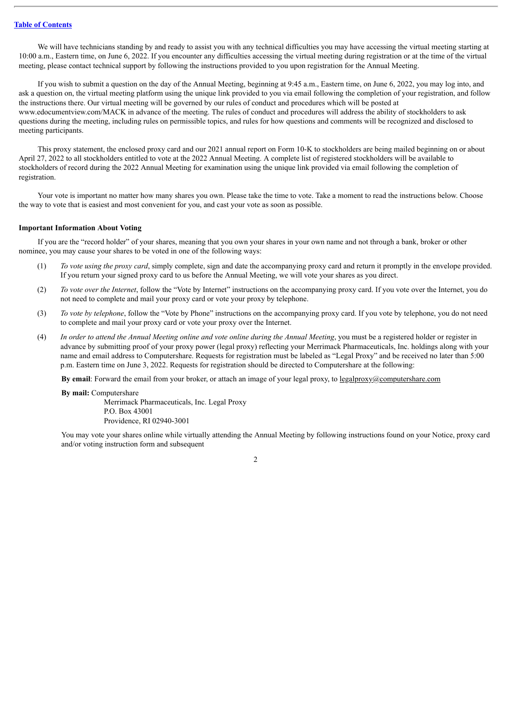We will have technicians standing by and ready to assist you with any technical difficulties you may have accessing the virtual meeting starting at 10:00 a.m., Eastern time, on June 6, 2022. If you encounter any difficulties accessing the virtual meeting during registration or at the time of the virtual meeting, please contact technical support by following the instructions provided to you upon registration for the Annual Meeting.

If you wish to submit a question on the day of the Annual Meeting, beginning at 9:45 a.m., Eastern time, on June 6, 2022, you may log into, and ask a question on, the virtual meeting platform using the unique link provided to you via email following the completion of your registration, and follow the instructions there. Our virtual meeting will be governed by our rules of conduct and procedures which will be posted at www.edocumentview.com/MACK in advance of the meeting. The rules of conduct and procedures will address the ability of stockholders to ask questions during the meeting, including rules on permissible topics, and rules for how questions and comments will be recognized and disclosed to meeting participants.

This proxy statement, the enclosed proxy card and our 2021 annual report on Form 10-K to stockholders are being mailed beginning on or about April 27, 2022 to all stockholders entitled to vote at the 2022 Annual Meeting. A complete list of registered stockholders will be available to stockholders of record during the 2022 Annual Meeting for examination using the unique link provided via email following the completion of registration.

Your vote is important no matter how many shares you own. Please take the time to vote. Take a moment to read the instructions below. Choose the way to vote that is easiest and most convenient for you, and cast your vote as soon as possible.

#### <span id="page-6-0"></span>**Important Information About Voting**

If you are the "record holder" of your shares, meaning that you own your shares in your own name and not through a bank, broker or other nominee, you may cause your shares to be voted in one of the following ways:

- (1) *To vote using the proxy card*, simply complete, sign and date the accompanying proxy card and return it promptly in the envelope provided. If you return your signed proxy card to us before the Annual Meeting, we will vote your shares as you direct.
- (2) *To vote over the Internet*, follow the "Vote by Internet" instructions on the accompanying proxy card. If you vote over the Internet, you do not need to complete and mail your proxy card or vote your proxy by telephone.
- (3) *To vote by telephone*, follow the "Vote by Phone" instructions on the accompanying proxy card. If you vote by telephone, you do not need to complete and mail your proxy card or vote your proxy over the Internet.
- (4) In order to attend the Annual Meeting online and vote online during the Annual Meeting, you must be a registered holder or register in advance by submitting proof of your proxy power (legal proxy) reflecting your Merrimack Pharmaceuticals, Inc. holdings along with your name and email address to Computershare. Requests for registration must be labeled as "Legal Proxy" and be received no later than 5:00 p.m. Eastern time on June 3, 2022. Requests for registration should be directed to Computershare at the following:

**By email**: Forward the email from your broker, or attach an image of your legal proxy, to <u>legalproxy</u>@computershare.com

**By mail:** Computershare

Merrimack Pharmaceuticals, Inc. Legal Proxy P.O. Box 43001 Providence, RI 02940-3001

You may vote your shares online while virtually attending the Annual Meeting by following instructions found on your Notice, proxy card and/or voting instruction form and subsequent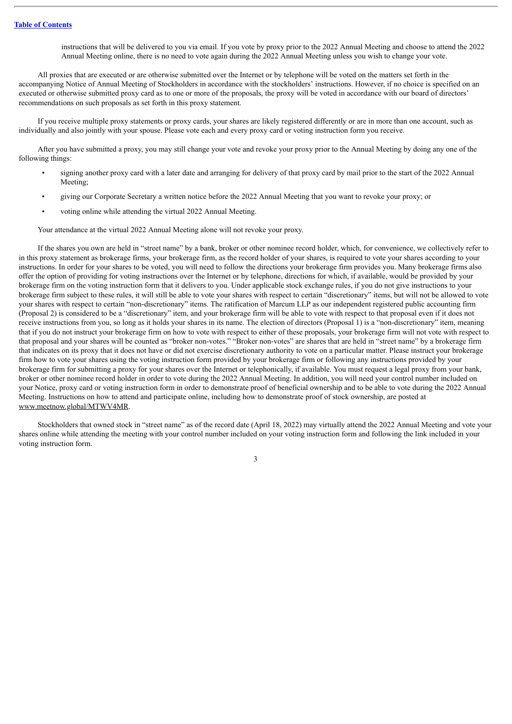instructions that will be delivered to you via email. If you vote by proxy prior to the 2022 Annual Meeting and choose to attend the 2022 Annual Meeting online, there is no need to vote again during the 2022 Annual Meeting unless you wish to change your vote.

All proxies that are executed or are otherwise submitted over the Internet or by telephone will be voted on the matters set forth in the accompanying Notice of Annual Meeting of Stockholders in accordance with the stockholders' instructions. However, if no choice is specified on an executed or otherwise submitted proxy card as to one or more of the proposals, the proxy will be voted in accordance with our board of directors' recommendations on such proposals as set forth in this proxy statement.

If you receive multiple proxy statements or proxy cards, your shares are likely registered differently or are in more than one account, such as individually and also jointly with your spouse. Please vote each and every proxy card or voting instruction form you receive.

After you have submitted a proxy, you may still change your vote and revoke your proxy prior to the Annual Meeting by doing any one of the following things:

- signing another proxy card with a later date and arranging for delivery of that proxy card by mail prior to the start of the 2022 Annual Meeting;
- giving our Corporate Secretary a written notice before the 2022 Annual Meeting that you want to revoke your proxy; or
- voting online while attending the virtual 2022 Annual Meeting.

Your attendance at the virtual 2022 Annual Meeting alone will not revoke your proxy.

If the shares you own are held in "street name" by a bank, broker or other nominee record holder, which, for convenience, we collectively refer to in this proxy statement as brokerage firms, your brokerage firm, as the record holder of your shares, is required to vote your shares according to your instructions. In order for your shares to be voted, you will need to follow the directions your brokerage firm provides you. Many brokerage firms also offer the option of providing for voting instructions over the Internet or by telephone, directions for which, if available, would be provided by your brokerage firm on the voting instruction form that it delivers to you. Under applicable stock exchange rules, if you do not give instructions to your brokerage firm subject to these rules, it will still be able to vote your shares with respect to certain "discretionary" items, but will not be allowed to vote your shares with respect to certain "non-discretionary" items. The ratification of Marcum LLP as our independent registered public accounting firm (Proposal 2) is considered to be a "discretionary" item, and your brokerage firm will be able to vote with respect to that proposal even if it does not receive instructions from you, so long as it holds your shares in its name. The election of directors (Proposal 1) is a "non-discretionary" item, meaning that if you do not instruct your brokerage firm on how to vote with respect to either of these proposals, your brokerage firm will not vote with respect to that proposal and your shares will be counted as "broker non-votes." "Broker non-votes" are shares that are held in "street name" by a brokerage firm that indicates on its proxy that it does not have or did not exercise discretionary authority to vote on a particular matter. Please instruct your brokerage firm how to vote your shares using the voting instruction form provided by your brokerage firm or following any instructions provided by your brokerage firm for submitting a proxy for your shares over the Internet or telephonically, if available. You must request a legal proxy from your bank, broker or other nominee record holder in order to vote during the 2022 Annual Meeting. In addition, you will need your control number included on your Notice, proxy card or voting instruction form in order to demonstrate proof of beneficial ownership and to be able to vote during the 2022 Annual Meeting. Instructions on how to attend and participate online, including how to demonstrate proof of stock ownership, are posted at www.meetnow.global/MTWV4MR.

Stockholders that owned stock in "street name" as of the record date (April 18, 2022) may virtually attend the 2022 Annual Meeting and vote your shares online while attending the meeting with your control number included on your voting instruction form and following the link included in your voting instruction form.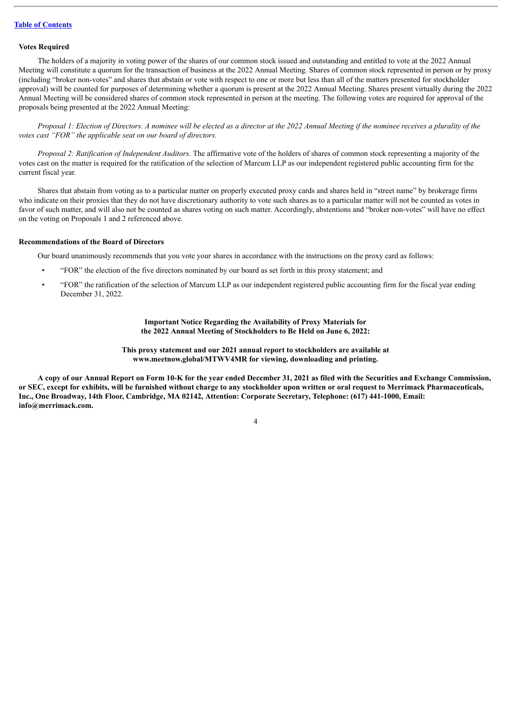#### <span id="page-8-0"></span>**Votes Required**

The holders of a majority in voting power of the shares of our common stock issued and outstanding and entitled to vote at the 2022 Annual Meeting will constitute a quorum for the transaction of business at the 2022 Annual Meeting. Shares of common stock represented in person or by proxy (including "broker non-votes" and shares that abstain or vote with respect to one or more but less than all of the matters presented for stockholder approval) will be counted for purposes of determining whether a quorum is present at the 2022 Annual Meeting. Shares present virtually during the 2022 Annual Meeting will be considered shares of common stock represented in person at the meeting. The following votes are required for approval of the proposals being presented at the 2022 Annual Meeting:

Proposal 1: Election of Directors. A nominee will be elected as a director at the 2022 Annual Meeting if the nominee receives a plurality of the *votes cast "FOR" the applicable seat on our board of directors.*

*Proposal 2: Ratification of Independent Auditors.* The affirmative vote of the holders of shares of common stock representing a majority of the votes cast on the matter is required for the ratification of the selection of Marcum LLP as our independent registered public accounting firm for the current fiscal year.

Shares that abstain from voting as to a particular matter on properly executed proxy cards and shares held in "street name" by brokerage firms who indicate on their proxies that they do not have discretionary authority to vote such shares as to a particular matter will not be counted as votes in favor of such matter, and will also not be counted as shares voting on such matter. Accordingly, abstentions and "broker non-votes" will have no effect on the voting on Proposals 1 and 2 referenced above.

## <span id="page-8-1"></span>**Recommendations of the Board of Directors**

Our board unanimously recommends that you vote your shares in accordance with the instructions on the proxy card as follows:

- "FOR" the election of the five directors nominated by our board as set forth in this proxy statement; and
- "FOR" the ratification of the selection of Marcum LLP as our independent registered public accounting firm for the fiscal year ending December 31, 2022.

**Important Notice Regarding the Availability of Proxy Materials for the 2022 Annual Meeting of Stockholders to Be Held on June 6, 2022:**

**This proxy statement and our 2021 annual report to stockholders are available at www.meetnow.global/MTWV4MR for viewing, downloading and printing.**

A copy of our Annual Report on Form 10-K for the year ended December 31, 2021 as filed with the Securities and Exchange Commission, or SEC, except for exhibits, will be furnished without charge to any stockholder upon written or oral request to Merrimack Pharmaceuticals, **Inc., One Broadway, 14th Floor, Cambridge, MA 02142, Attention: Corporate Secretary, Telephone: (617) 441-1000, Email: info@merrimack.com.**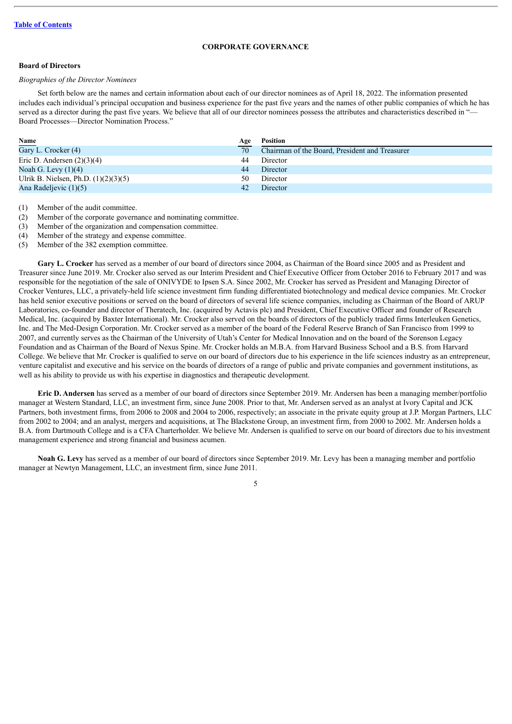#### **CORPORATE GOVERNANCE**

## <span id="page-9-1"></span><span id="page-9-0"></span>**Board of Directors**

## *Biographies of the Director Nominees*

Set forth below are the names and certain information about each of our director nominees as of April 18, 2022. The information presented includes each individual's principal occupation and business experience for the past five years and the names of other public companies of which he has served as a director during the past five years. We believe that all of our director nominees possess the attributes and characteristics described in "-Board Processes—Director Nomination Process."

| Name                                   | Age | <b>Position</b>                                |
|----------------------------------------|-----|------------------------------------------------|
| Gary L. Crocker $(4)$                  | 70  | Chairman of the Board, President and Treasurer |
| Eric D. Andersen $(2)(3)(4)$           | 44  | Director                                       |
| Noah G. Levy $(1)(4)$                  | 44  | Director                                       |
| Ulrik B. Nielsen, Ph.D. $(1)(2)(3)(5)$ | 50  | Director                                       |
| Ana Radeljevic (1)(5)                  | 42  | Director                                       |

(1) Member of the audit committee.

(2) Member of the corporate governance and nominating committee.

(3) Member of the organization and compensation committee.

(4) Member of the strategy and expense committee.

(5) Member of the 382 exemption committee.

**Gary L. Crocker** has served as a member of our board of directors since 2004, as Chairman of the Board since 2005 and as President and Treasurer since June 2019. Mr. Crocker also served as our Interim President and Chief Executive Officer from October 2016 to February 2017 and was responsible for the negotiation of the sale of ONIVYDE to Ipsen S.A. Since 2002, Mr. Crocker has served as President and Managing Director of Crocker Ventures, LLC, a privately-held life science investment firm funding differentiated biotechnology and medical device companies. Mr. Crocker has held senior executive positions or served on the board of directors of several life science companies, including as Chairman of the Board of ARUP Laboratories, co-founder and director of Theratech, Inc. (acquired by Actavis plc) and President, Chief Executive Officer and founder of Research Medical, Inc. (acquired by Baxter International). Mr. Crocker also served on the boards of directors of the publicly traded firms Interleuken Genetics, Inc. and The Med-Design Corporation. Mr. Crocker served as a member of the board of the Federal Reserve Branch of San Francisco from 1999 to 2007, and currently serves as the Chairman of the University of Utah's Center for Medical Innovation and on the board of the Sorenson Legacy Foundation and as Chairman of the Board of Nexus Spine. Mr. Crocker holds an M.B.A. from Harvard Business School and a B.S. from Harvard College. We believe that Mr. Crocker is qualified to serve on our board of directors due to his experience in the life sciences industry as an entrepreneur, venture capitalist and executive and his service on the boards of directors of a range of public and private companies and government institutions, as well as his ability to provide us with his expertise in diagnostics and therapeutic development.

**Eric D. Andersen** has served as a member of our board of directors since September 2019. Mr. Andersen has been a managing member/portfolio manager at Western Standard, LLC, an investment firm, since June 2008. Prior to that, Mr. Andersen served as an analyst at Ivory Capital and JCK Partners, both investment firms, from 2006 to 2008 and 2004 to 2006, respectively; an associate in the private equity group at J.P. Morgan Partners, LLC from 2002 to 2004; and an analyst, mergers and acquisitions, at The Blackstone Group, an investment firm, from 2000 to 2002. Mr. Andersen holds a B.A. from Dartmouth College and is a CFA Charterholder. We believe Mr. Andersen is qualified to serve on our board of directors due to his investment management experience and strong financial and business acumen.

**Noah G. Levy** has served as a member of our board of directors since September 2019. Mr. Levy has been a managing member and portfolio manager at Newtyn Management, LLC, an investment firm, since June 2011.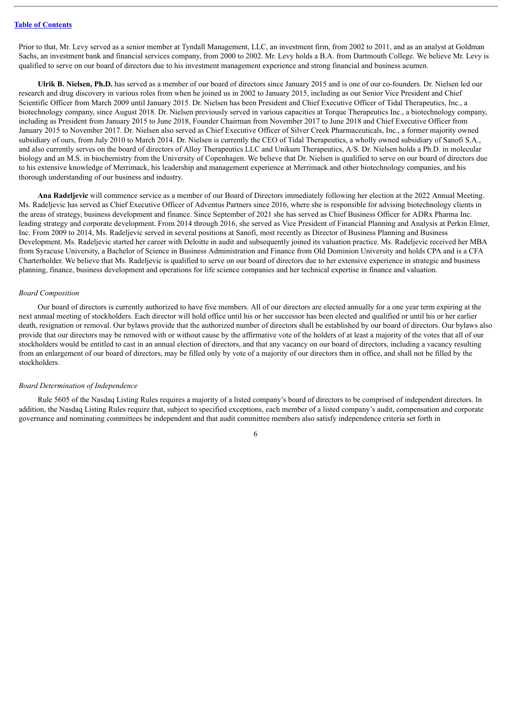Prior to that, Mr. Levy served as a senior member at Tyndall Management, LLC, an investment firm, from 2002 to 2011, and as an analyst at Goldman Sachs, an investment bank and financial services company, from 2000 to 2002. Mr. Levy holds a B.A. from Dartmouth College. We believe Mr. Levy is qualified to serve on our board of directors due to his investment management experience and strong financial and business acumen.

**Ulrik B. Nielsen, Ph.D.** has served as a member of our board of directors since January 2015 and is one of our co-founders. Dr. Nielsen led our research and drug discovery in various roles from when he joined us in 2002 to January 2015, including as our Senior Vice President and Chief Scientific Officer from March 2009 until January 2015. Dr. Nielsen has been President and Chief Executive Officer of Tidal Therapeutics, Inc., a biotechnology company, since August 2018. Dr. Nielsen previously served in various capacities at Torque Therapeutics Inc., a biotechnology company, including as President from January 2015 to June 2018, Founder Chairman from November 2017 to June 2018 and Chief Executive Officer from January 2015 to November 2017. Dr. Nielsen also served as Chief Executive Officer of Silver Creek Pharmaceuticals, Inc., a former majority owned subsidiary of ours, from July 2010 to March 2014. Dr. Nielsen is currently the CEO of Tidal Therapeutics, a wholly owned subsidiary of Sanofi S.A., and also currently serves on the board of directors of Alloy Therapeutics LLC and Unikum Therapeutics, A/S. Dr. Nielsen holds a Ph.D. in molecular biology and an M.S. in biochemistry from the University of Copenhagen. We believe that Dr. Nielsen is qualified to serve on our board of directors due to his extensive knowledge of Merrimack, his leadership and management experience at Merrimack and other biotechnology companies, and his thorough understanding of our business and industry.

**Ana Radeljevic** will commence service as a member of our Board of Directors immediately following her election at the 2022 Annual Meeting. Ms. Radeljevic has served as Chief Executive Officer of Adventus Partners since 2016, where she is responsible for advising biotechnology clients in the areas of strategy, business development and finance. Since September of 2021 she has served as Chief Business Officer for ADRx Pharma Inc. leading strategy and corporate development. From 2014 through 2016, she served as Vice President of Financial Planning and Analysis at Perkin Elmer, Inc. From 2009 to 2014, Ms. Radeljevic served in several positions at Sanofi, most recently as Director of Business Planning and Business Development. Ms. Radeljevic started her career with Deloitte in audit and subsequently joined its valuation practice. Ms. Radeljevic received her MBA from Syracuse University, a Bachelor of Science in Business Administration and Finance from Old Dominion University and holds CPA and is a CFA Charterholder. We believe that Ms. Radeljevic is qualified to serve on our board of directors due to her extensive experience in strategic and business planning, finance, business development and operations for life science companies and her technical expertise in finance and valuation.

#### *Board Composition*

Our board of directors is currently authorized to have five members. All of our directors are elected annually for a one year term expiring at the next annual meeting of stockholders. Each director will hold office until his or her successor has been elected and qualified or until his or her earlier death, resignation or removal. Our bylaws provide that the authorized number of directors shall be established by our board of directors. Our bylaws also provide that our directors may be removed with or without cause by the affirmative vote of the holders of at least a majority of the votes that all of our stockholders would be entitled to cast in an annual election of directors, and that any vacancy on our board of directors, including a vacancy resulting from an enlargement of our board of directors, may be filled only by vote of a majority of our directors then in office, and shall not be filled by the stockholders.

#### *Board Determination of Independence*

Rule 5605 of the Nasdaq Listing Rules requires a majority of a listed company's board of directors to be comprised of independent directors. In addition, the Nasdaq Listing Rules require that, subject to specified exceptions, each member of a listed company's audit, compensation and corporate governance and nominating committees be independent and that audit committee members also satisfy independence criteria set forth in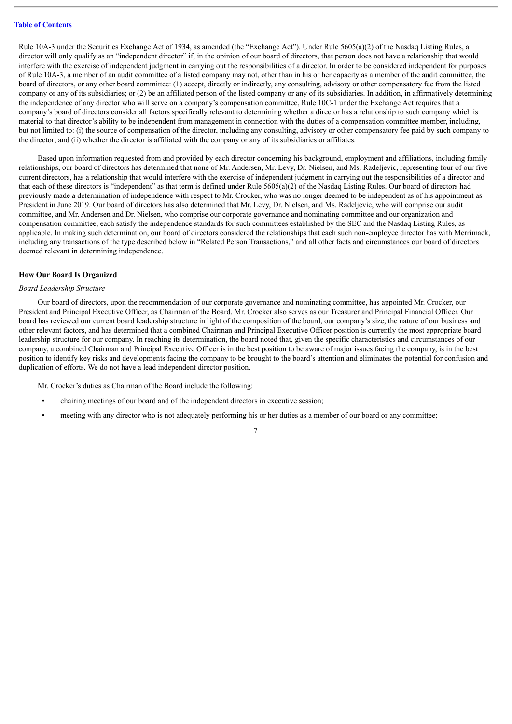Rule 10A-3 under the Securities Exchange Act of 1934, as amended (the "Exchange Act"). Under Rule 5605(a)(2) of the Nasdaq Listing Rules, a director will only qualify as an "independent director" if, in the opinion of our board of directors, that person does not have a relationship that would interfere with the exercise of independent judgment in carrying out the responsibilities of a director. In order to be considered independent for purposes of Rule 10A-3, a member of an audit committee of a listed company may not, other than in his or her capacity as a member of the audit committee, the board of directors, or any other board committee: (1) accept, directly or indirectly, any consulting, advisory or other compensatory fee from the listed company or any of its subsidiaries; or (2) be an affiliated person of the listed company or any of its subsidiaries. In addition, in affirmatively determining the independence of any director who will serve on a company's compensation committee, Rule 10C-1 under the Exchange Act requires that a company's board of directors consider all factors specifically relevant to determining whether a director has a relationship to such company which is material to that director's ability to be independent from management in connection with the duties of a compensation committee member, including, but not limited to: (i) the source of compensation of the director, including any consulting, advisory or other compensatory fee paid by such company to the director; and (ii) whether the director is affiliated with the company or any of its subsidiaries or affiliates.

Based upon information requested from and provided by each director concerning his background, employment and affiliations, including family relationships, our board of directors has determined that none of Mr. Andersen, Mr. Levy, Dr. Nielsen, and Ms. Radeljevic, representing four of our five current directors, has a relationship that would interfere with the exercise of independent judgment in carrying out the responsibilities of a director and that each of these directors is "independent" as that term is defined under Rule 5605(a)(2) of the Nasdaq Listing Rules. Our board of directors had previously made a determination of independence with respect to Mr. Crocker, who was no longer deemed to be independent as of his appointment as President in June 2019. Our board of directors has also determined that Mr. Levy, Dr. Nielsen, and Ms. Radeljevic, who will comprise our audit committee, and Mr. Andersen and Dr. Nielsen, who comprise our corporate governance and nominating committee and our organization and compensation committee, each satisfy the independence standards for such committees established by the SEC and the Nasdaq Listing Rules, as applicable. In making such determination, our board of directors considered the relationships that each such non-employee director has with Merrimack, including any transactions of the type described below in "Related Person Transactions," and all other facts and circumstances our board of directors deemed relevant in determining independence.

## <span id="page-11-0"></span>**How Our Board Is Organized**

### *Board Leadership Structure*

Our board of directors, upon the recommendation of our corporate governance and nominating committee, has appointed Mr. Crocker, our President and Principal Executive Officer, as Chairman of the Board. Mr. Crocker also serves as our Treasurer and Principal Financial Officer. Our board has reviewed our current board leadership structure in light of the composition of the board, our company's size, the nature of our business and other relevant factors, and has determined that a combined Chairman and Principal Executive Officer position is currently the most appropriate board leadership structure for our company. In reaching its determination, the board noted that, given the specific characteristics and circumstances of our company, a combined Chairman and Principal Executive Officer is in the best position to be aware of major issues facing the company, is in the best position to identify key risks and developments facing the company to be brought to the board's attention and eliminates the potential for confusion and duplication of efforts. We do not have a lead independent director position.

Mr. Crocker's duties as Chairman of the Board include the following:

- chairing meetings of our board and of the independent directors in executive session;
- meeting with any director who is not adequately performing his or her duties as a member of our board or any committee;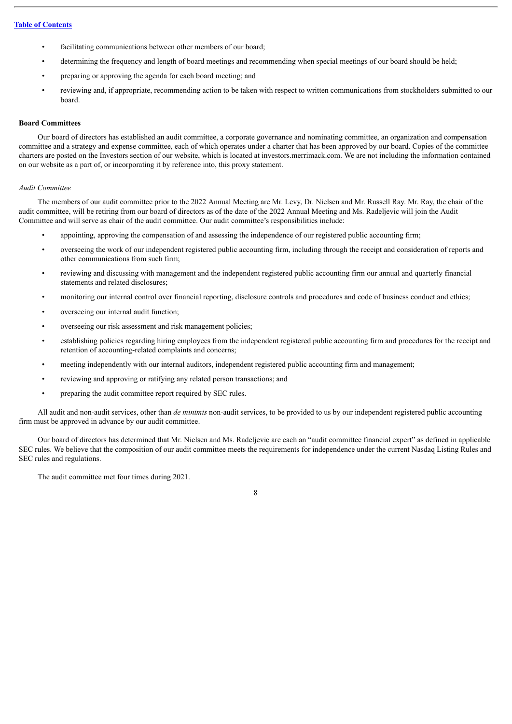- facilitating communications between other members of our board;
- determining the frequency and length of board meetings and recommending when special meetings of our board should be held;
- preparing or approving the agenda for each board meeting; and
- reviewing and, if appropriate, recommending action to be taken with respect to written communications from stockholders submitted to our board.

#### <span id="page-12-0"></span>**Board Committees**

Our board of directors has established an audit committee, a corporate governance and nominating committee, an organization and compensation committee and a strategy and expense committee, each of which operates under a charter that has been approved by our board. Copies of the committee charters are posted on the Investors section of our website, which is located at investors.merrimack.com. We are not including the information contained on our website as a part of, or incorporating it by reference into, this proxy statement.

#### *Audit Committee*

The members of our audit committee prior to the 2022 Annual Meeting are Mr. Levy, Dr. Nielsen and Mr. Russell Ray. Mr. Ray, the chair of the audit committee, will be retiring from our board of directors as of the date of the 2022 Annual Meeting and Ms. Radeljevic will join the Audit Committee and will serve as chair of the audit committee. Our audit committee's responsibilities include:

- appointing, approving the compensation of and assessing the independence of our registered public accounting firm;
- overseeing the work of our independent registered public accounting firm, including through the receipt and consideration of reports and other communications from such firm;
- reviewing and discussing with management and the independent registered public accounting firm our annual and quarterly financial statements and related disclosures;
- monitoring our internal control over financial reporting, disclosure controls and procedures and code of business conduct and ethics;
- overseeing our internal audit function;
- overseeing our risk assessment and risk management policies;
- establishing policies regarding hiring employees from the independent registered public accounting firm and procedures for the receipt and retention of accounting-related complaints and concerns;
- meeting independently with our internal auditors, independent registered public accounting firm and management;
- reviewing and approving or ratifying any related person transactions; and
- preparing the audit committee report required by SEC rules.

All audit and non-audit services, other than *de minimis* non-audit services, to be provided to us by our independent registered public accounting firm must be approved in advance by our audit committee.

Our board of directors has determined that Mr. Nielsen and Ms. Radeljevic are each an "audit committee financial expert" as defined in applicable SEC rules. We believe that the composition of our audit committee meets the requirements for independence under the current Nasdaq Listing Rules and SEC rules and regulations.

The audit committee met four times during 2021.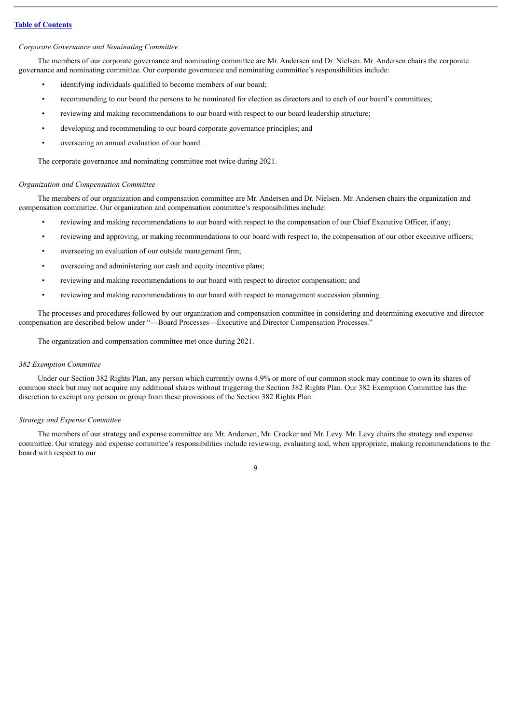#### *Corporate Governance and Nominating Committee*

The members of our corporate governance and nominating committee are Mr. Andersen and Dr. Nielsen. Mr. Andersen chairs the corporate governance and nominating committee. Our corporate governance and nominating committee's responsibilities include:

- identifying individuals qualified to become members of our board;
- recommending to our board the persons to be nominated for election as directors and to each of our board's committees;
- reviewing and making recommendations to our board with respect to our board leadership structure;
- developing and recommending to our board corporate governance principles; and
- overseeing an annual evaluation of our board.

The corporate governance and nominating committee met twice during 2021.

#### *Organization and Compensation Committee*

The members of our organization and compensation committee are Mr. Andersen and Dr. Nielsen. Mr. Andersen chairs the organization and compensation committee. Our organization and compensation committee's responsibilities include:

- reviewing and making recommendations to our board with respect to the compensation of our Chief Executive Officer, if any;
- reviewing and approving, or making recommendations to our board with respect to, the compensation of our other executive officers;
- overseeing an evaluation of our outside management firm;
- overseeing and administering our cash and equity incentive plans;
- reviewing and making recommendations to our board with respect to director compensation; and
- reviewing and making recommendations to our board with respect to management succession planning.

The processes and procedures followed by our organization and compensation committee in considering and determining executive and director compensation are described below under "—Board Processes—Executive and Director Compensation Processes."

The organization and compensation committee met once during 2021.

#### *382 Exemption Committee*

Under our Section 382 Rights Plan, any person which currently owns 4.9% or more of our common stock may continue to own its shares of common stock but may not acquire any additional shares without triggering the Section 382 Rights Plan. Our 382 Exemption Committee has the discretion to exempt any person or group from these provisions of the Section 382 Rights Plan.

## *Strategy and Expense Committee*

The members of our strategy and expense committee are Mr. Andersen, Mr. Crocker and Mr. Levy. Mr. Levy chairs the strategy and expense committee. Our strategy and expense committee's responsibilities include reviewing, evaluating and, when appropriate, making recommendations to the board with respect to our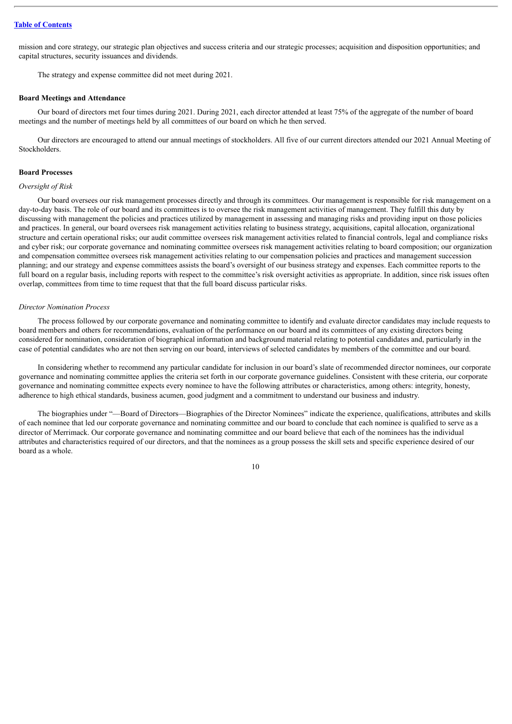mission and core strategy, our strategic plan objectives and success criteria and our strategic processes; acquisition and disposition opportunities; and capital structures, security issuances and dividends.

The strategy and expense committee did not meet during 2021.

#### <span id="page-14-0"></span>**Board Meetings and Attendance**

Our board of directors met four times during 2021. During 2021, each director attended at least 75% of the aggregate of the number of board meetings and the number of meetings held by all committees of our board on which he then served.

Our directors are encouraged to attend our annual meetings of stockholders. All five of our current directors attended our 2021 Annual Meeting of Stockholders.

#### <span id="page-14-1"></span>**Board Processes**

#### *Oversight of Risk*

Our board oversees our risk management processes directly and through its committees. Our management is responsible for risk management on a day-to-day basis. The role of our board and its committees is to oversee the risk management activities of management. They fulfill this duty by discussing with management the policies and practices utilized by management in assessing and managing risks and providing input on those policies and practices. In general, our board oversees risk management activities relating to business strategy, acquisitions, capital allocation, organizational structure and certain operational risks; our audit committee oversees risk management activities related to financial controls, legal and compliance risks and cyber risk; our corporate governance and nominating committee oversees risk management activities relating to board composition; our organization and compensation committee oversees risk management activities relating to our compensation policies and practices and management succession planning; and our strategy and expense committees assists the board's oversight of our business strategy and expenses. Each committee reports to the full board on a regular basis, including reports with respect to the committee's risk oversight activities as appropriate. In addition, since risk issues often overlap, committees from time to time request that that the full board discuss particular risks.

#### *Director Nomination Process*

The process followed by our corporate governance and nominating committee to identify and evaluate director candidates may include requests to board members and others for recommendations, evaluation of the performance on our board and its committees of any existing directors being considered for nomination, consideration of biographical information and background material relating to potential candidates and, particularly in the case of potential candidates who are not then serving on our board, interviews of selected candidates by members of the committee and our board.

In considering whether to recommend any particular candidate for inclusion in our board's slate of recommended director nominees, our corporate governance and nominating committee applies the criteria set forth in our corporate governance guidelines. Consistent with these criteria, our corporate governance and nominating committee expects every nominee to have the following attributes or characteristics, among others: integrity, honesty, adherence to high ethical standards, business acumen, good judgment and a commitment to understand our business and industry.

The biographies under "—Board of Directors—Biographies of the Director Nominees" indicate the experience, qualifications, attributes and skills of each nominee that led our corporate governance and nominating committee and our board to conclude that each nominee is qualified to serve as a director of Merrimack. Our corporate governance and nominating committee and our board believe that each of the nominees has the individual attributes and characteristics required of our directors, and that the nominees as a group possess the skill sets and specific experience desired of our board as a whole.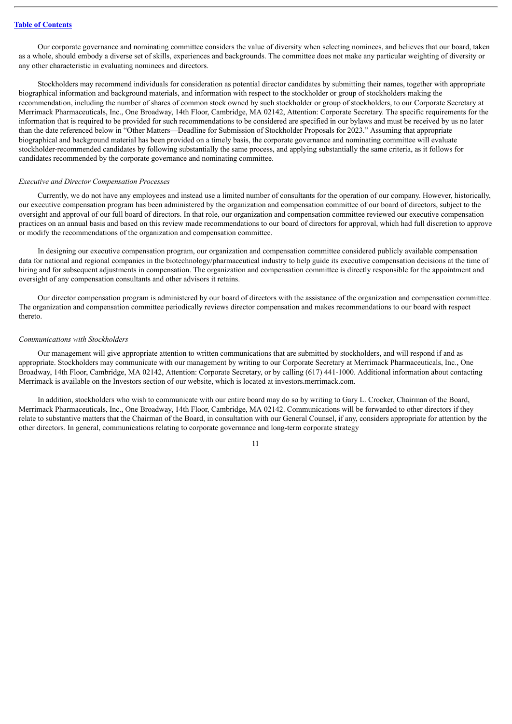Our corporate governance and nominating committee considers the value of diversity when selecting nominees, and believes that our board, taken as a whole, should embody a diverse set of skills, experiences and backgrounds. The committee does not make any particular weighting of diversity or any other characteristic in evaluating nominees and directors.

Stockholders may recommend individuals for consideration as potential director candidates by submitting their names, together with appropriate biographical information and background materials, and information with respect to the stockholder or group of stockholders making the recommendation, including the number of shares of common stock owned by such stockholder or group of stockholders, to our Corporate Secretary at Merrimack Pharmaceuticals, Inc., One Broadway, 14th Floor, Cambridge, MA 02142, Attention: Corporate Secretary. The specific requirements for the information that is required to be provided for such recommendations to be considered are specified in our bylaws and must be received by us no later than the date referenced below in "Other Matters—Deadline for Submission of Stockholder Proposals for 2023." Assuming that appropriate biographical and background material has been provided on a timely basis, the corporate governance and nominating committee will evaluate stockholder-recommended candidates by following substantially the same process, and applying substantially the same criteria, as it follows for candidates recommended by the corporate governance and nominating committee.

#### *Executive and Director Compensation Processes*

Currently, we do not have any employees and instead use a limited number of consultants for the operation of our company. However, historically, our executive compensation program has been administered by the organization and compensation committee of our board of directors, subject to the oversight and approval of our full board of directors. In that role, our organization and compensation committee reviewed our executive compensation practices on an annual basis and based on this review made recommendations to our board of directors for approval, which had full discretion to approve or modify the recommendations of the organization and compensation committee.

In designing our executive compensation program, our organization and compensation committee considered publicly available compensation data for national and regional companies in the biotechnology/pharmaceutical industry to help guide its executive compensation decisions at the time of hiring and for subsequent adjustments in compensation. The organization and compensation committee is directly responsible for the appointment and oversight of any compensation consultants and other advisors it retains.

Our director compensation program is administered by our board of directors with the assistance of the organization and compensation committee. The organization and compensation committee periodically reviews director compensation and makes recommendations to our board with respect thereto.

#### *Communications with Stockholders*

Our management will give appropriate attention to written communications that are submitted by stockholders, and will respond if and as appropriate. Stockholders may communicate with our management by writing to our Corporate Secretary at Merrimack Pharmaceuticals, Inc., One Broadway, 14th Floor, Cambridge, MA 02142, Attention: Corporate Secretary, or by calling (617) 441-1000. Additional information about contacting Merrimack is available on the Investors section of our website, which is located at investors.merrimack.com.

In addition, stockholders who wish to communicate with our entire board may do so by writing to Gary L. Crocker, Chairman of the Board, Merrimack Pharmaceuticals, Inc., One Broadway, 14th Floor, Cambridge, MA 02142. Communications will be forwarded to other directors if they relate to substantive matters that the Chairman of the Board, in consultation with our General Counsel, if any, considers appropriate for attention by the other directors. In general, communications relating to corporate governance and long-term corporate strategy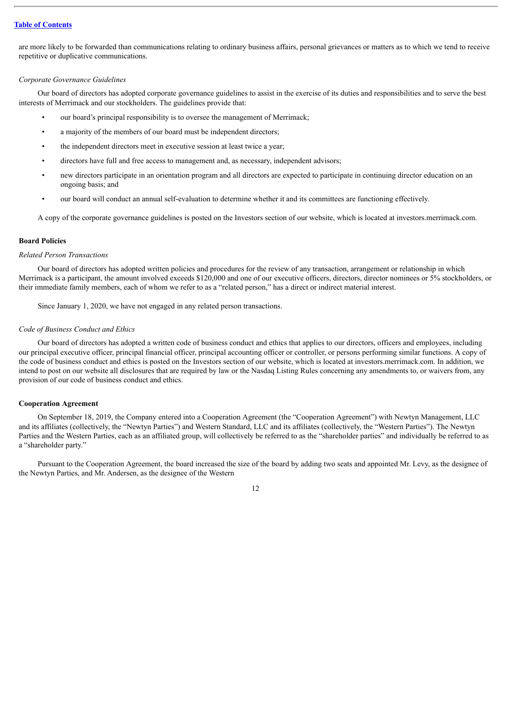are more likely to be forwarded than communications relating to ordinary business affairs, personal grievances or matters as to which we tend to receive repetitive or duplicative communications.

#### *Corporate Governance Guidelines*

Our board of directors has adopted corporate governance guidelines to assist in the exercise of its duties and responsibilities and to serve the best interests of Merrimack and our stockholders. The guidelines provide that:

- our board's principal responsibility is to oversee the management of Merrimack;
- a majority of the members of our board must be independent directors;
- the independent directors meet in executive session at least twice a year;
- directors have full and free access to management and, as necessary, independent advisors;
- new directors participate in an orientation program and all directors are expected to participate in continuing director education on an ongoing basis; and
- our board will conduct an annual self-evaluation to determine whether it and its committees are functioning effectively.

A copy of the corporate governance guidelines is posted on the Investors section of our website, which is located at investors.merrimack.com.

## <span id="page-16-0"></span>**Board Policies**

#### *Related Person Transactions*

Our board of directors has adopted written policies and procedures for the review of any transaction, arrangement or relationship in which Merrimack is a participant, the amount involved exceeds \$120,000 and one of our executive officers, directors, director nominees or 5% stockholders, or their immediate family members, each of whom we refer to as a "related person," has a direct or indirect material interest.

Since January 1, 2020, we have not engaged in any related person transactions.

#### *Code of Business Conduct and Ethics*

Our board of directors has adopted a written code of business conduct and ethics that applies to our directors, officers and employees, including our principal executive officer, principal financial officer, principal accounting officer or controller, or persons performing similar functions. A copy of the code of business conduct and ethics is posted on the Investors section of our website, which is located at investors.merrimack.com. In addition, we intend to post on our website all disclosures that are required by law or the Nasdaq Listing Rules concerning any amendments to, or waivers from, any provision of our code of business conduct and ethics.

## <span id="page-16-1"></span>**Cooperation Agreement**

On September 18, 2019, the Company entered into a Cooperation Agreement (the "Cooperation Agreement") with Newtyn Management, LLC and its affiliates (collectively, the "Newtyn Parties") and Western Standard, LLC and its affiliates (collectively, the "Western Parties"). The Newtyn Parties and the Western Parties, each as an affiliated group, will collectively be referred to as the "shareholder parties" and individually be referred to as a "shareholder party."

Pursuant to the Cooperation Agreement, the board increased the size of the board by adding two seats and appointed Mr. Levy, as the designee of the Newtyn Parties, and Mr. Andersen, as the designee of the Western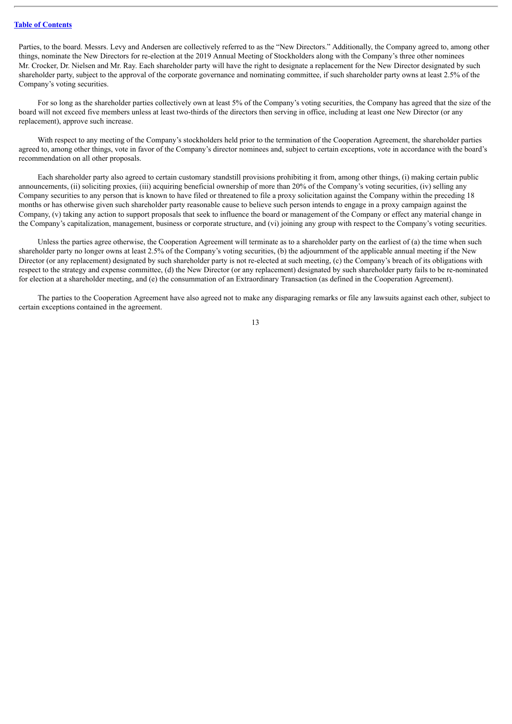Parties, to the board. Messrs. Levy and Andersen are collectively referred to as the "New Directors." Additionally, the Company agreed to, among other things, nominate the New Directors for re-election at the 2019 Annual Meeting of Stockholders along with the Company's three other nominees Mr. Crocker, Dr. Nielsen and Mr. Ray. Each shareholder party will have the right to designate a replacement for the New Director designated by such shareholder party, subject to the approval of the corporate governance and nominating committee, if such shareholder party owns at least 2.5% of the Company's voting securities.

For so long as the shareholder parties collectively own at least 5% of the Company's voting securities, the Company has agreed that the size of the board will not exceed five members unless at least two-thirds of the directors then serving in office, including at least one New Director (or any replacement), approve such increase.

With respect to any meeting of the Company's stockholders held prior to the termination of the Cooperation Agreement, the shareholder parties agreed to, among other things, vote in favor of the Company's director nominees and, subject to certain exceptions, vote in accordance with the board's recommendation on all other proposals.

Each shareholder party also agreed to certain customary standstill provisions prohibiting it from, among other things, (i) making certain public announcements, (ii) soliciting proxies, (iii) acquiring beneficial ownership of more than 20% of the Company's voting securities, (iv) selling any Company securities to any person that is known to have filed or threatened to file a proxy solicitation against the Company within the preceding 18 months or has otherwise given such shareholder party reasonable cause to believe such person intends to engage in a proxy campaign against the Company, (v) taking any action to support proposals that seek to influence the board or management of the Company or effect any material change in the Company's capitalization, management, business or corporate structure, and (vi) joining any group with respect to the Company's voting securities.

Unless the parties agree otherwise, the Cooperation Agreement will terminate as to a shareholder party on the earliest of (a) the time when such shareholder party no longer owns at least 2.5% of the Company's voting securities, (b) the adjournment of the applicable annual meeting if the New Director (or any replacement) designated by such shareholder party is not re-elected at such meeting, (c) the Company's breach of its obligations with respect to the strategy and expense committee, (d) the New Director (or any replacement) designated by such shareholder party fails to be re-nominated for election at a shareholder meeting, and (e) the consummation of an Extraordinary Transaction (as defined in the Cooperation Agreement).

The parties to the Cooperation Agreement have also agreed not to make any disparaging remarks or file any lawsuits against each other, subject to certain exceptions contained in the agreement.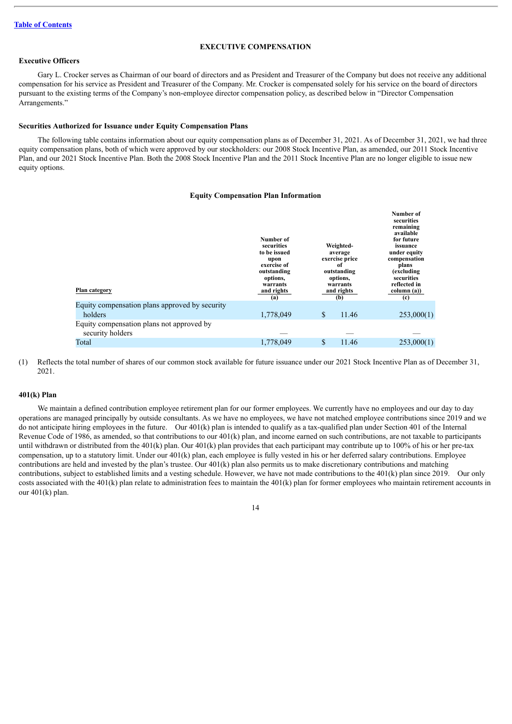#### **EXECUTIVE COMPENSATION**

## <span id="page-18-0"></span>**Executive Officers**

Gary L. Crocker serves as Chairman of our board of directors and as President and Treasurer of the Company but does not receive any additional compensation for his service as President and Treasurer of the Company. Mr. Crocker is compensated solely for his service on the board of directors pursuant to the existing terms of the Company's non-employee director compensation policy, as described below in "Director Compensation Arrangements."

#### <span id="page-18-1"></span>**Securities Authorized for Issuance under Equity Compensation Plans**

The following table contains information about our equity compensation plans as of December 31, 2021. As of December 31, 2021, we had three equity compensation plans, both of which were approved by our stockholders: our 2008 Stock Incentive Plan, as amended, our 2011 Stock Incentive Plan, and our 2021 Stock Incentive Plan. Both the 2008 Stock Incentive Plan and the 2011 Stock Incentive Plan are no longer eligible to issue new equity options.

#### **Equity Compensation Plan Information**

| Plan category                                                 | Number of<br>securities<br>to be issued<br>upon<br>exercise of<br>outstanding<br>options,<br>warrants<br>and rights<br>(a) | Weighted-<br>average<br>exercise price<br>-of<br>outstanding<br>options,<br>warrants<br>and rights<br>(b) |       | Number of<br>securities<br>remaining<br>available<br>for future<br>issuance<br>under equity<br>compensation<br>plans<br><i>(excluding)</i><br>securities<br>reflected in<br>column (a))<br>$\left( \mathrm{c}\right)$ |
|---------------------------------------------------------------|----------------------------------------------------------------------------------------------------------------------------|-----------------------------------------------------------------------------------------------------------|-------|-----------------------------------------------------------------------------------------------------------------------------------------------------------------------------------------------------------------------|
| Equity compensation plans approved by security                |                                                                                                                            |                                                                                                           |       |                                                                                                                                                                                                                       |
| holders                                                       | 1,778,049                                                                                                                  | \$                                                                                                        | 11.46 | 253,000(1)                                                                                                                                                                                                            |
| Equity compensation plans not approved by<br>security holders |                                                                                                                            |                                                                                                           |       |                                                                                                                                                                                                                       |
| Total                                                         | 1,778,049                                                                                                                  | \$                                                                                                        | 11.46 | 253,000(1)                                                                                                                                                                                                            |

(1) Reflects the total number of shares of our common stock available for future issuance under our 2021 Stock Incentive Plan as of December 31, 2021.

### <span id="page-18-2"></span>**401(k) Plan**

We maintain a defined contribution employee retirement plan for our former employees. We currently have no employees and our day to day operations are managed principally by outside consultants. As we have no employees, we have not matched employee contributions since 2019 and we do not anticipate hiring employees in the future. Our 401(k) plan is intended to qualify as a tax-qualified plan under Section 401 of the Internal Revenue Code of 1986, as amended, so that contributions to our  $401(k)$  plan, and income earned on such contributions, are not taxable to participants until withdrawn or distributed from the 401(k) plan. Our 401(k) plan provides that each participant may contribute up to 100% of his or her pre-tax compensation, up to a statutory limit. Under our 401(k) plan, each employee is fully vested in his or her deferred salary contributions. Employee contributions are held and invested by the plan's trustee. Our 401(k) plan also permits us to make discretionary contributions and matching contributions, subject to established limits and a vesting schedule. However, we have not made contributions to the 401(k) plan since 2019. Our only costs associated with the 401(k) plan relate to administration fees to maintain the  $401(k)$  plan for former employees who maintain retirement accounts in our 401(k) plan.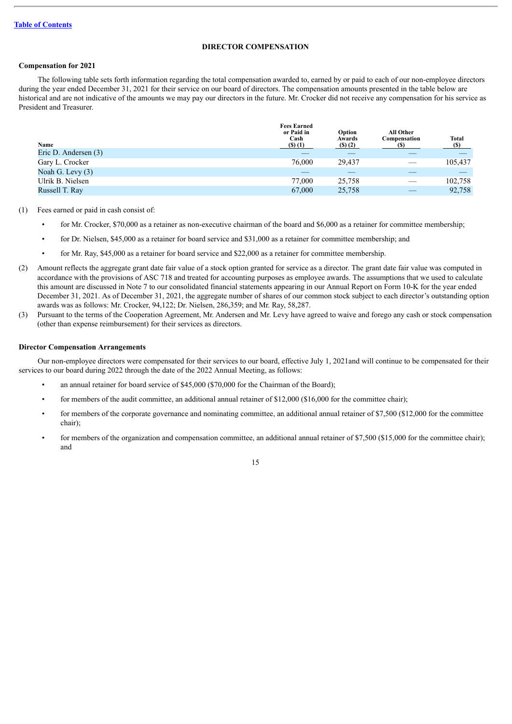## **DIRECTOR COMPENSATION**

## <span id="page-19-1"></span><span id="page-19-0"></span>**Compensation for 2021**

The following table sets forth information regarding the total compensation awarded to, earned by or paid to each of our non-employee directors during the year ended December 31, 2021 for their service on our board of directors. The compensation amounts presented in the table below are historical and are not indicative of the amounts we may pay our directors in the future. Mr. Crocker did not receive any compensation for his service as President and Treasurer.

| Name<br>Eric D. Andersen (3) | <b>Fees Earned</b><br>or Paid in<br>Cash<br>$($ S $)$ $(1)$ | Option<br>Awards<br>$($ S $)$ $(2)$ | All Other<br>Compensation | <b>Total</b><br>$(\$)$ |
|------------------------------|-------------------------------------------------------------|-------------------------------------|---------------------------|------------------------|
| Gary L. Crocker              | 76,000                                                      | 29.437                              |                           | 105,437                |
| Noah G. Levy (3)             |                                                             |                                     |                           |                        |
| Ulrik B. Nielsen             | 77,000                                                      | 25,758                              |                           | 102,758                |
| Russell T. Ray               | 67,000                                                      | 25,758                              |                           | 92,758                 |

- (1) Fees earned or paid in cash consist of:
	- for Mr. Crocker, \$70,000 as a retainer as non-executive chairman of the board and \$6,000 as a retainer for committee membership;
	- for Dr. Nielsen, \$45,000 as a retainer for board service and \$31,000 as a retainer for committee membership; and
	- for Mr. Ray, \$45,000 as a retainer for board service and \$22,000 as a retainer for committee membership.
- (2) Amount reflects the aggregate grant date fair value of a stock option granted for service as a director. The grant date fair value was computed in accordance with the provisions of ASC 718 and treated for accounting purposes as employee awards. The assumptions that we used to calculate this amount are discussed in Note 7 to our consolidated financial statements appearing in our Annual Report on Form 10-K for the year ended December 31, 2021. As of December 31, 2021, the aggregate number of shares of our common stock subject to each director's outstanding option awards was as follows: Mr. Crocker, 94,122; Dr. Nielsen, 286,359; and Mr. Ray, 58,287.
- (3) Pursuant to the terms of the Cooperation Agreement, Mr. Andersen and Mr. Levy have agreed to waive and forego any cash or stock compensation (other than expense reimbursement) for their services as directors.

#### <span id="page-19-2"></span>**Director Compensation Arrangements**

Our non-employee directors were compensated for their services to our board, effective July 1, 2021and will continue to be compensated for their services to our board during 2022 through the date of the 2022 Annual Meeting, as follows:

- an annual retainer for board service of \$45,000 (\$70,000 for the Chairman of the Board);
- for members of the audit committee, an additional annual retainer of \$12,000 (\$16,000 for the committee chair);
- for members of the corporate governance and nominating committee, an additional annual retainer of \$7,500 (\$12,000 for the committee chair);
- for members of the organization and compensation committee, an additional annual retainer of \$7,500 (\$15,000 for the committee chair); and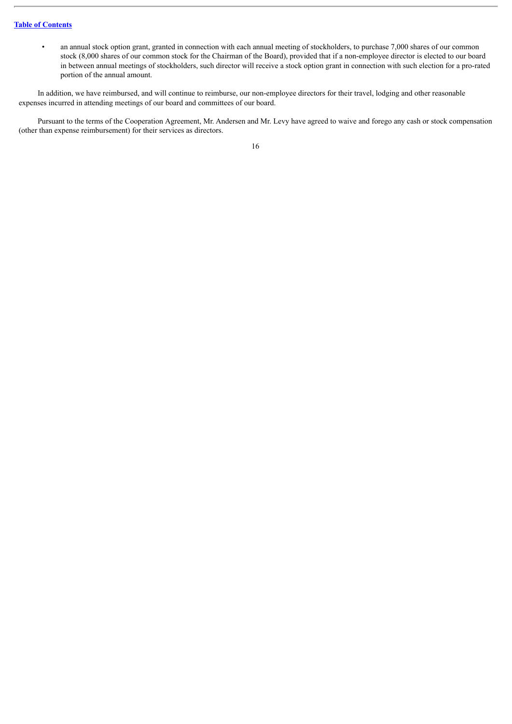• an annual stock option grant, granted in connection with each annual meeting of stockholders, to purchase 7,000 shares of our common stock (8,000 shares of our common stock for the Chairman of the Board), provided that if a non-employee director is elected to our board in between annual meetings of stockholders, such director will receive a stock option grant in connection with such election for a pro-rated portion of the annual amount.

In addition, we have reimbursed, and will continue to reimburse, our non-employee directors for their travel, lodging and other reasonable expenses incurred in attending meetings of our board and committees of our board.

Pursuant to the terms of the Cooperation Agreement, Mr. Andersen and Mr. Levy have agreed to waive and forego any cash or stock compensation (other than expense reimbursement) for their services as directors.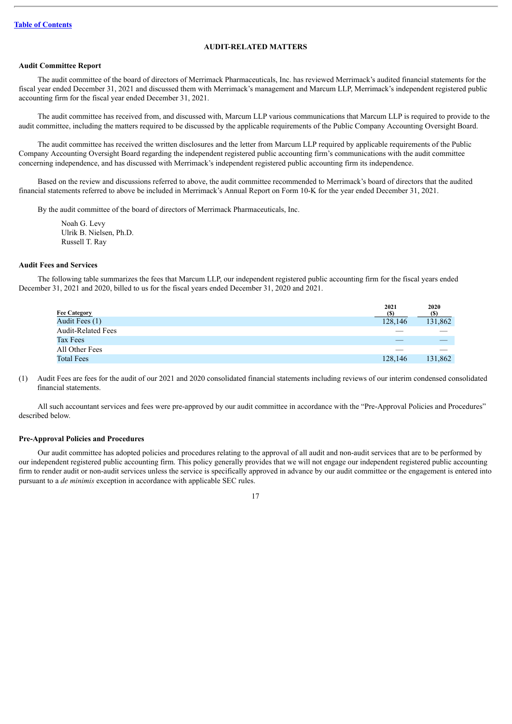## **AUDIT-RELATED MATTERS**

#### <span id="page-21-1"></span><span id="page-21-0"></span>**Audit Committee Report**

The audit committee of the board of directors of Merrimack Pharmaceuticals, Inc. has reviewed Merrimack's audited financial statements for the fiscal year ended December 31, 2021 and discussed them with Merrimack's management and Marcum LLP, Merrimack's independent registered public accounting firm for the fiscal year ended December 31, 2021.

The audit committee has received from, and discussed with, Marcum LLP various communications that Marcum LLP is required to provide to the audit committee, including the matters required to be discussed by the applicable requirements of the Public Company Accounting Oversight Board.

The audit committee has received the written disclosures and the letter from Marcum LLP required by applicable requirements of the Public Company Accounting Oversight Board regarding the independent registered public accounting firm's communications with the audit committee concerning independence, and has discussed with Merrimack's independent registered public accounting firm its independence.

Based on the review and discussions referred to above, the audit committee recommended to Merrimack's board of directors that the audited financial statements referred to above be included in Merrimack's Annual Report on Form 10-K for the year ended December 31, 2021.

By the audit committee of the board of directors of Merrimack Pharmaceuticals, Inc.

Noah G. Levy Ulrik B. Nielsen, Ph.D. Russell T. Ray

#### <span id="page-21-2"></span>**Audit Fees and Services**

The following table summarizes the fees that Marcum LLP, our independent registered public accounting firm for the fiscal years ended December 31, 2021 and 2020, billed to us for the fiscal years ended December 31, 2020 and 2021.

| <b>Fee Category</b>       | 2021    | 2020<br>(S) |
|---------------------------|---------|-------------|
| Audit Fees (1)            | 128,146 | 131,862     |
| <b>Audit-Related Fees</b> |         |             |
| Tax Fees                  |         |             |
| All Other Fees            |         |             |
| <b>Total Fees</b>         | 128,146 | 131,862     |

(1) Audit Fees are fees for the audit of our 2021 and 2020 consolidated financial statements including reviews of our interim condensed consolidated financial statements.

All such accountant services and fees were pre-approved by our audit committee in accordance with the "Pre-Approval Policies and Procedures" described below.

#### <span id="page-21-3"></span>**Pre-Approval Policies and Procedures**

Our audit committee has adopted policies and procedures relating to the approval of all audit and non-audit services that are to be performed by our independent registered public accounting firm. This policy generally provides that we will not engage our independent registered public accounting firm to render audit or non-audit services unless the service is specifically approved in advance by our audit committee or the engagement is entered into pursuant to a *de minimis* exception in accordance with applicable SEC rules.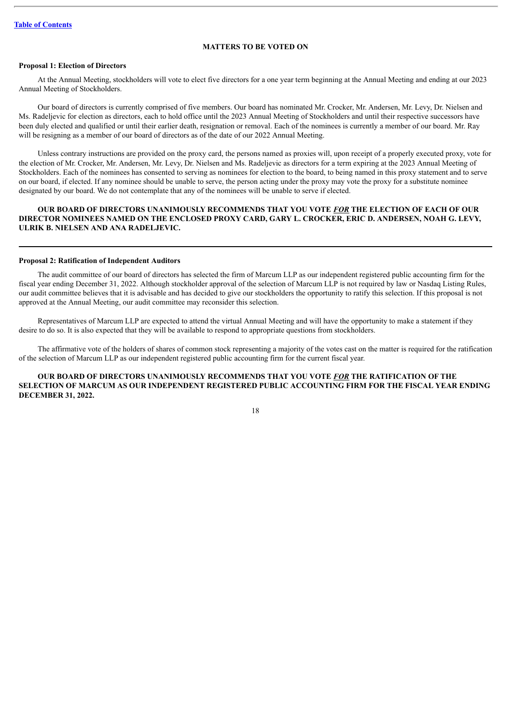## **MATTERS TO BE VOTED ON**

## <span id="page-22-1"></span><span id="page-22-0"></span>**Proposal 1: Election of Directors**

At the Annual Meeting, stockholders will vote to elect five directors for a one year term beginning at the Annual Meeting and ending at our 2023 Annual Meeting of Stockholders.

Our board of directors is currently comprised of five members. Our board has nominated Mr. Crocker, Mr. Andersen, Mr. Levy, Dr. Nielsen and Ms. Radeljevic for election as directors, each to hold office until the 2023 Annual Meeting of Stockholders and until their respective successors have been duly elected and qualified or until their earlier death, resignation or removal. Each of the nominees is currently a member of our board. Mr. Ray will be resigning as a member of our board of directors as of the date of our 2022 Annual Meeting.

Unless contrary instructions are provided on the proxy card, the persons named as proxies will, upon receipt of a properly executed proxy, vote for the election of Mr. Crocker, Mr. Andersen, Mr. Levy, Dr. Nielsen and Ms. Radeljevic as directors for a term expiring at the 2023 Annual Meeting of Stockholders. Each of the nominees has consented to serving as nominees for election to the board, to being named in this proxy statement and to serve on our board, if elected. If any nominee should be unable to serve, the person acting under the proxy may vote the proxy for a substitute nominee designated by our board. We do not contemplate that any of the nominees will be unable to serve if elected.

## **OUR BOARD OF DIRECTORS UNANIMOUSLY RECOMMENDS THAT YOU VOTE** *FOR* **THE ELECTION OF EACH OF OUR DIRECTOR NOMINEES NAMED ON THE ENCLOSED PROXY CARD, GARY L. CROCKER, ERIC D. ANDERSEN, NOAH G. LEVY, ULRIK B. NIELSEN AND ANA RADELJEVIC.**

#### <span id="page-22-2"></span>**Proposal 2: Ratification of Independent Auditors**

The audit committee of our board of directors has selected the firm of Marcum LLP as our independent registered public accounting firm for the fiscal year ending December 31, 2022. Although stockholder approval of the selection of Marcum LLP is not required by law or Nasdaq Listing Rules, our audit committee believes that it is advisable and has decided to give our stockholders the opportunity to ratify this selection. If this proposal is not approved at the Annual Meeting, our audit committee may reconsider this selection.

Representatives of Marcum LLP are expected to attend the virtual Annual Meeting and will have the opportunity to make a statement if they desire to do so. It is also expected that they will be available to respond to appropriate questions from stockholders.

The affirmative vote of the holders of shares of common stock representing a majority of the votes cast on the matter is required for the ratification of the selection of Marcum LLP as our independent registered public accounting firm for the current fiscal year.

## **OUR BOARD OF DIRECTORS UNANIMOUSLY RECOMMENDS THAT YOU VOTE** *FOR* **THE RATIFICATION OF THE SELECTION OF MARCUM AS OUR INDEPENDENT REGISTERED PUBLIC ACCOUNTING FIRM FOR THE FISCAL YEAR ENDING DECEMBER 31, 2022.**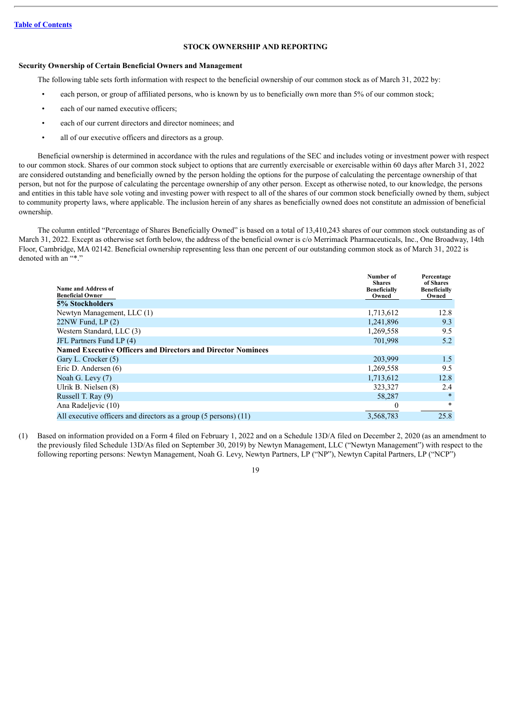## **STOCK OWNERSHIP AND REPORTING**

#### <span id="page-23-1"></span><span id="page-23-0"></span>**Security Ownership of Certain Beneficial Owners and Management**

The following table sets forth information with respect to the beneficial ownership of our common stock as of March 31, 2022 by:

- each person, or group of affiliated persons, who is known by us to beneficially own more than 5% of our common stock;
- each of our named executive officers;
- each of our current directors and director nominees; and
- all of our executive officers and directors as a group.

Beneficial ownership is determined in accordance with the rules and regulations of the SEC and includes voting or investment power with respect to our common stock. Shares of our common stock subject to options that are currently exercisable or exercisable within 60 days after March 31, 2022 are considered outstanding and beneficially owned by the person holding the options for the purpose of calculating the percentage ownership of that person, but not for the purpose of calculating the percentage ownership of any other person. Except as otherwise noted, to our knowledge, the persons and entities in this table have sole voting and investing power with respect to all of the shares of our common stock beneficially owned by them, subject to community property laws, where applicable. The inclusion herein of any shares as beneficially owned does not constitute an admission of beneficial ownership.

The column entitled "Percentage of Shares Beneficially Owned" is based on a total of 13,410,243 shares of our common stock outstanding as of March 31, 2022. Except as otherwise set forth below, the address of the beneficial owner is c/o Merrimack Pharmaceuticals, Inc., One Broadway, 14th Floor, Cambridge, MA 02142. Beneficial ownership representing less than one percent of our outstanding common stock as of March 31, 2022 is denoted with an "\*."

| Name and Address of<br><b>Beneficial Owner</b>                      | Number of<br><b>Shares</b><br><b>Beneficially</b><br>Owned | Percentage<br>of Shares<br><b>Beneficially</b><br>Owned |
|---------------------------------------------------------------------|------------------------------------------------------------|---------------------------------------------------------|
| 5% Stockholders                                                     |                                                            |                                                         |
| Newtyn Management, LLC (1)                                          | 1,713,612                                                  | 12.8                                                    |
| $22NW$ Fund, LP $(2)$                                               | 1,241,896                                                  | 9.3                                                     |
| Western Standard, LLC (3)                                           | 1,269,558                                                  | 9.5                                                     |
| JFL Partners Fund LP (4)                                            | 701,998                                                    | 5.2                                                     |
| <b>Named Executive Officers and Directors and Director Nominees</b> |                                                            |                                                         |
| Gary L. Crocker (5)                                                 | 203,999                                                    | 1.5                                                     |
| Eric D. Andersen (6)                                                | 1,269,558                                                  | 9.5                                                     |
| Noah G. Levy (7)                                                    | 1,713,612                                                  | 12.8                                                    |
| Ulrik B. Nielsen (8)                                                | 323,327                                                    | 2.4                                                     |
| Russell T. Ray (9)                                                  | 58,287                                                     | $\ast$                                                  |
| Ana Radeljevic (10)                                                 | 0                                                          | $\ast$                                                  |
| All executive officers and directors as a group (5 persons) (11)    | 3,568,783                                                  | 25.8                                                    |

(1) Based on information provided on a Form 4 filed on February 1, 2022 and on a Schedule 13D/A filed on December 2, 2020 (as an amendment to the previously filed Schedule 13D/As filed on September 30, 2019) by Newtyn Management, LLC ("Newtyn Management") with respect to the following reporting persons: Newtyn Management, Noah G. Levy, Newtyn Partners, LP ("NP"), Newtyn Capital Partners, LP ("NCP")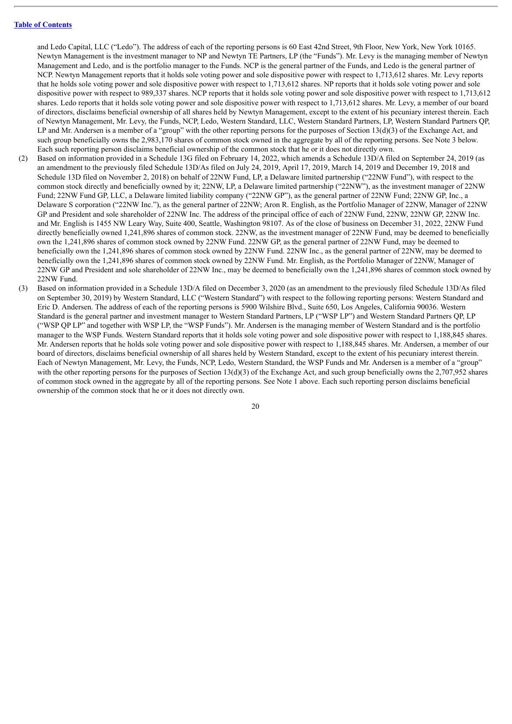and Ledo Capital, LLC ("Ledo"). The address of each of the reporting persons is 60 East 42nd Street, 9th Floor, New York, New York 10165. Newtyn Management is the investment manager to NP and Newtyn TE Partners, LP (the "Funds"). Mr. Levy is the managing member of Newtyn Management and Ledo, and is the portfolio manager to the Funds. NCP is the general partner of the Funds, and Ledo is the general partner of NCP. Newtyn Management reports that it holds sole voting power and sole dispositive power with respect to 1,713,612 shares. Mr. Levy reports that he holds sole voting power and sole dispositive power with respect to 1,713,612 shares. NP reports that it holds sole voting power and sole dispositive power with respect to 989,337 shares. NCP reports that it holds sole voting power and sole dispositive power with respect to 1,713,612 shares. Ledo reports that it holds sole voting power and sole dispositive power with respect to 1,713,612 shares. Mr. Levy, a member of our board of directors, disclaims beneficial ownership of all shares held by Newtyn Management, except to the extent of his pecuniary interest therein. Each of Newtyn Management, Mr. Levy, the Funds, NCP, Ledo, Western Standard, LLC, Western Standard Partners, LP, Western Standard Partners QP, LP and Mr. Andersen is a member of a "group" with the other reporting persons for the purposes of Section 13(d)(3) of the Exchange Act, and such group beneficially owns the 2,983,170 shares of common stock owned in the aggregate by all of the reporting persons. See Note 3 below. Each such reporting person disclaims beneficial ownership of the common stock that he or it does not directly own.

- (2) Based on information provided in a Schedule 13G filed on February 14, 2022, which amends a Schedule 13D/A filed on September 24, 2019 (as an amendment to the previously filed Schedule 13D/As filed on July 24, 2019, April 17, 2019, March 14, 2019 and December 19, 2018 and Schedule 13D filed on November 2, 2018) on behalf of 22NW Fund, LP, a Delaware limited partnership ("22NW Fund"), with respect to the common stock directly and beneficially owned by it; 22NW, LP, a Delaware limited partnership ("22NW"), as the investment manager of 22NW Fund; 22NW Fund GP, LLC, a Delaware limited liability company ("22NW GP"), as the general partner of 22NW Fund; 22NW GP, Inc., a Delaware S corporation ("22NW Inc."), as the general partner of 22NW; Aron R. English, as the Portfolio Manager of 22NW, Manager of 22NW GP and President and sole shareholder of 22NW Inc. The address of the principal office of each of 22NW Fund, 22NW, 22NW GP, 22NW Inc. and Mr. English is 1455 NW Leary Way, Suite 400, Seattle, Washington 98107. As of the close of business on December 31, 2022, 22NW Fund directly beneficially owned 1,241,896 shares of common stock. 22NW, as the investment manager of 22NW Fund, may be deemed to beneficially own the 1,241,896 shares of common stock owned by 22NW Fund. 22NW GP, as the general partner of 22NW Fund, may be deemed to beneficially own the 1,241,896 shares of common stock owned by 22NW Fund. 22NW Inc., as the general partner of 22NW, may be deemed to beneficially own the 1,241,896 shares of common stock owned by 22NW Fund. Mr. English, as the Portfolio Manager of 22NW, Manager of 22NW GP and President and sole shareholder of 22NW Inc., may be deemed to beneficially own the 1,241,896 shares of common stock owned by 22NW Fund.
- (3) Based on information provided in a Schedule 13D/A filed on December 3, 2020 (as an amendment to the previously filed Schedule 13D/As filed on September 30, 2019) by Western Standard, LLC ("Western Standard") with respect to the following reporting persons: Western Standard and Eric D. Andersen. The address of each of the reporting persons is 5900 Wilshire Blvd., Suite 650, Los Angeles, California 90036. Western Standard is the general partner and investment manager to Western Standard Partners, LP ("WSP LP") and Western Standard Partners QP, LP ("WSP QP LP" and together with WSP LP, the "WSP Funds"). Mr. Andersen is the managing member of Western Standard and is the portfolio manager to the WSP Funds. Western Standard reports that it holds sole voting power and sole dispositive power with respect to 1,188,845 shares. Mr. Andersen reports that he holds sole voting power and sole dispositive power with respect to 1,188,845 shares. Mr. Andersen, a member of our board of directors, disclaims beneficial ownership of all shares held by Western Standard, except to the extent of his pecuniary interest therein. Each of Newtyn Management, Mr. Levy, the Funds, NCP, Ledo, Western Standard, the WSP Funds and Mr. Andersen is a member of a "group" with the other reporting persons for the purposes of Section 13(d)(3) of the Exchange Act, and such group beneficially owns the 2,707,952 shares of common stock owned in the aggregate by all of the reporting persons. See Note 1 above. Each such reporting person disclaims beneficial ownership of the common stock that he or it does not directly own.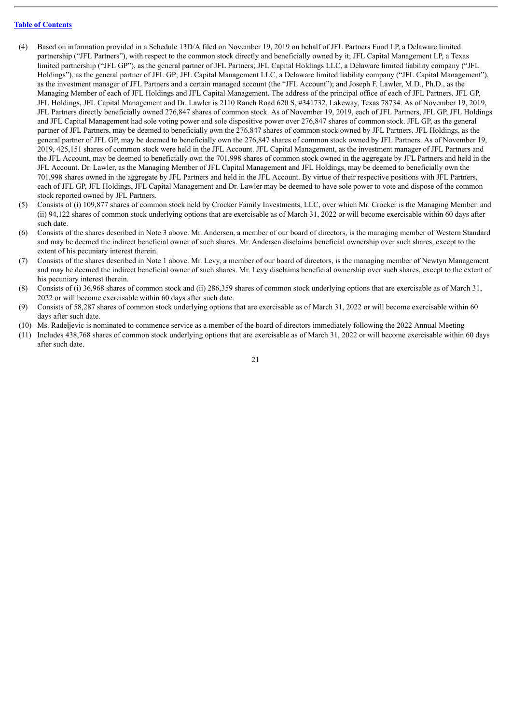- (4) Based on information provided in a Schedule 13D/A filed on November 19, 2019 on behalf of JFL Partners Fund LP, a Delaware limited partnership ("JFL Partners"), with respect to the common stock directly and beneficially owned by it; JFL Capital Management LP, a Texas limited partnership ("JFL GP"), as the general partner of JFL Partners; JFL Capital Holdings LLC, a Delaware limited liability company ("JFL Holdings"), as the general partner of JFL GP; JFL Capital Management LLC, a Delaware limited liability company ("JFL Capital Management"), as the investment manager of JFL Partners and a certain managed account (the "JFL Account"); and Joseph F. Lawler, M.D., Ph.D., as the Managing Member of each of JFL Holdings and JFL Capital Management. The address of the principal office of each of JFL Partners, JFL GP, JFL Holdings, JFL Capital Management and Dr. Lawler is 2110 Ranch Road 620 S, #341732, Lakeway, Texas 78734. As of November 19, 2019, JFL Partners directly beneficially owned 276,847 shares of common stock. As of November 19, 2019, each of JFL Partners, JFL GP, JFL Holdings and JFL Capital Management had sole voting power and sole dispositive power over 276,847 shares of common stock. JFL GP, as the general partner of JFL Partners, may be deemed to beneficially own the 276,847 shares of common stock owned by JFL Partners. JFL Holdings, as the general partner of JFL GP, may be deemed to beneficially own the 276,847 shares of common stock owned by JFL Partners. As of November 19, 2019, 425,151 shares of common stock were held in the JFL Account. JFL Capital Management, as the investment manager of JFL Partners and the JFL Account, may be deemed to beneficially own the 701,998 shares of common stock owned in the aggregate by JFL Partners and held in the JFL Account. Dr. Lawler, as the Managing Member of JFL Capital Management and JFL Holdings, may be deemed to beneficially own the 701,998 shares owned in the aggregate by JFL Partners and held in the JFL Account. By virtue of their respective positions with JFL Partners, each of JFL GP, JFL Holdings, JFL Capital Management and Dr. Lawler may be deemed to have sole power to vote and dispose of the common stock reported owned by JFL Partners.
- (5) Consists of (i) 109,877 shares of common stock held by Crocker Family Investments, LLC, over which Mr. Crocker is the Managing Member. and (ii) 94,122 shares of common stock underlying options that are exercisable as of March 31, 2022 or will become exercisable within 60 days after such date.
- (6) Consists of the shares described in Note 3 above. Mr. Andersen, a member of our board of directors, is the managing member of Western Standard and may be deemed the indirect beneficial owner of such shares. Mr. Andersen disclaims beneficial ownership over such shares, except to the extent of his pecuniary interest therein.
- (7) Consists of the shares described in Note 1 above. Mr. Levy, a member of our board of directors, is the managing member of Newtyn Management and may be deemed the indirect beneficial owner of such shares. Mr. Levy disclaims beneficial ownership over such shares, except to the extent of his pecuniary interest therein.
- (8) Consists of (i) 36,968 shares of common stock and (ii) 286,359 shares of common stock underlying options that are exercisable as of March 31, 2022 or will become exercisable within 60 days after such date.
- (9) Consists of 58,287 shares of common stock underlying options that are exercisable as of March 31, 2022 or will become exercisable within 60 days after such date.
- (10) Ms. Radeljevic is nominated to commence service as a member of the board of directors immediately following the 2022 Annual Meeting
- (11) Includes 438,768 shares of common stock underlying options that are exercisable as of March 31, 2022 or will become exercisable within 60 days after such date.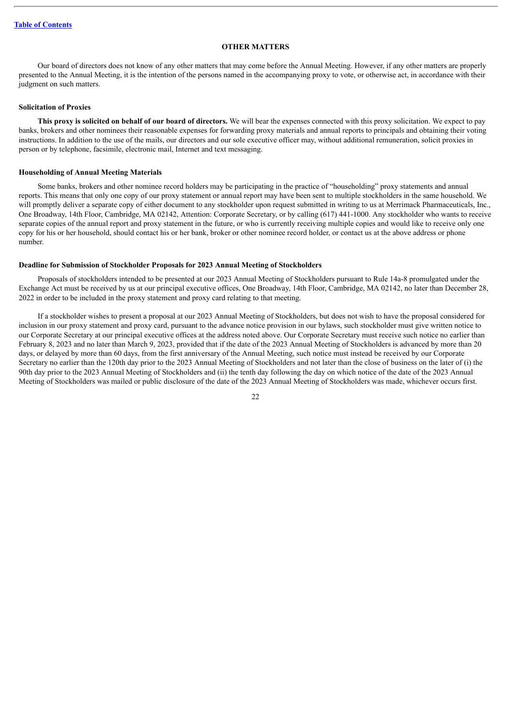## **OTHER MATTERS**

<span id="page-26-0"></span>Our board of directors does not know of any other matters that may come before the Annual Meeting. However, if any other matters are properly presented to the Annual Meeting, it is the intention of the persons named in the accompanying proxy to vote, or otherwise act, in accordance with their judgment on such matters.

#### <span id="page-26-1"></span>**Solicitation of Proxies**

**This proxy is solicited on behalf of our board of directors.** We will bear the expenses connected with this proxy solicitation. We expect to pay banks, brokers and other nominees their reasonable expenses for forwarding proxy materials and annual reports to principals and obtaining their voting instructions. In addition to the use of the mails, our directors and our sole executive officer may, without additional remuneration, solicit proxies in person or by telephone, facsimile, electronic mail, Internet and text messaging.

#### <span id="page-26-2"></span>**Householding of Annual Meeting Materials**

Some banks, brokers and other nominee record holders may be participating in the practice of "householding" proxy statements and annual reports. This means that only one copy of our proxy statement or annual report may have been sent to multiple stockholders in the same household. We will promptly deliver a separate copy of either document to any stockholder upon request submitted in writing to us at Merrimack Pharmaceuticals, Inc., One Broadway, 14th Floor, Cambridge, MA 02142, Attention: Corporate Secretary, or by calling (617) 441-1000. Any stockholder who wants to receive separate copies of the annual report and proxy statement in the future, or who is currently receiving multiple copies and would like to receive only one copy for his or her household, should contact his or her bank, broker or other nominee record holder, or contact us at the above address or phone number.

#### <span id="page-26-3"></span>**Deadline for Submission of Stockholder Proposals for 2023 Annual Meeting of Stockholders**

Proposals of stockholders intended to be presented at our 2023 Annual Meeting of Stockholders pursuant to Rule 14a-8 promulgated under the Exchange Act must be received by us at our principal executive offices, One Broadway, 14th Floor, Cambridge, MA 02142, no later than December 28, 2022 in order to be included in the proxy statement and proxy card relating to that meeting.

If a stockholder wishes to present a proposal at our 2023 Annual Meeting of Stockholders, but does not wish to have the proposal considered for inclusion in our proxy statement and proxy card, pursuant to the advance notice provision in our bylaws, such stockholder must give written notice to our Corporate Secretary at our principal executive offices at the address noted above. Our Corporate Secretary must receive such notice no earlier than February 8, 2023 and no later than March 9, 2023, provided that if the date of the 2023 Annual Meeting of Stockholders is advanced by more than 20 days, or delayed by more than 60 days, from the first anniversary of the Annual Meeting, such notice must instead be received by our Corporate Secretary no earlier than the 120th day prior to the 2023 Annual Meeting of Stockholders and not later than the close of business on the later of (i) the 90th day prior to the 2023 Annual Meeting of Stockholders and (ii) the tenth day following the day on which notice of the date of the 2023 Annual Meeting of Stockholders was mailed or public disclosure of the date of the 2023 Annual Meeting of Stockholders was made, whichever occurs first.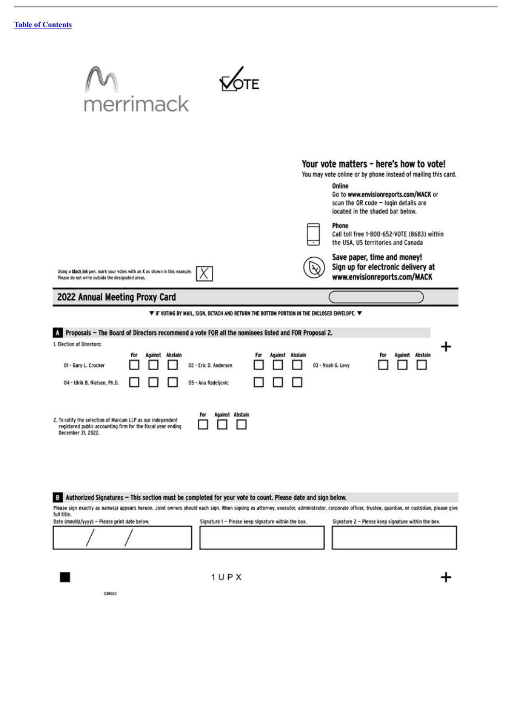$\blacksquare$ 

03MG5C

J.

| merrimack                                                                                                                                                                                                                                                                                                                                                                                                      |                                                                                                                                                                                                                                                                                                                                                                                                                                            |
|----------------------------------------------------------------------------------------------------------------------------------------------------------------------------------------------------------------------------------------------------------------------------------------------------------------------------------------------------------------------------------------------------------------|--------------------------------------------------------------------------------------------------------------------------------------------------------------------------------------------------------------------------------------------------------------------------------------------------------------------------------------------------------------------------------------------------------------------------------------------|
| Using a black ink pen, mark your votes with an X as shown in this example.<br>Please do not write outside the designated areas.                                                                                                                                                                                                                                                                                | Your vote matters - here's how to vote!<br>You may vote online or by phone instead of mailing this card.<br>Online<br>Go to www.envisionreports.com/MACK or<br>scan the OR code - login details are<br>located in the shaded bar below.<br>Phone<br>Call toll free 1-800-652-VOTE (8683) within<br>the USA, US territories and Canada<br>Save paper, time and money!<br>Sign up for electronic delivery at<br>www.envisionreports.com/MACK |
| 2022 Annual Meeting Proxy Card                                                                                                                                                                                                                                                                                                                                                                                 |                                                                                                                                                                                                                                                                                                                                                                                                                                            |
| $\blacktriangledown$ if voting by Mail, sign, detach and return the bottom portion in the enclosed envelope. $\blacktriangledown$<br>Proposals - The Board of Directors recommend a vote FOR all the nominees listed and FOR Proposal 2.<br>1. Election of Directors:<br>Against Abstain<br>For<br>For<br>02 - Eric D. Andersen<br>01 - Gary L. Crocker<br>05 - Ana Radeljevic<br>04 - Ulrik B. Nielsen, Ph.D. | Against Abstain<br>Against Abstain<br>03 - Noah G. Levy                                                                                                                                                                                                                                                                                                                                                                                    |
|                                                                                                                                                                                                                                                                                                                                                                                                                |                                                                                                                                                                                                                                                                                                                                                                                                                                            |
| Against Abstain<br>For<br>2. To ratify the selection of Marcum LLP as our independent<br>registered public accounting firm for the fiscal year ending<br>December 31, 2022.                                                                                                                                                                                                                                    |                                                                                                                                                                                                                                                                                                                                                                                                                                            |
| Authorized Signatures - This section must be completed for your vote to count. Please date and sign below.<br>В<br>Please sign exactly as name(s) appears hereon. Joint owners should each sign. When signing as attorney, executor, administrator, corporate officer, trustee, guardian, or custodian, please give                                                                                            |                                                                                                                                                                                                                                                                                                                                                                                                                                            |

 $1UPX$ 

 $\ddot{}$